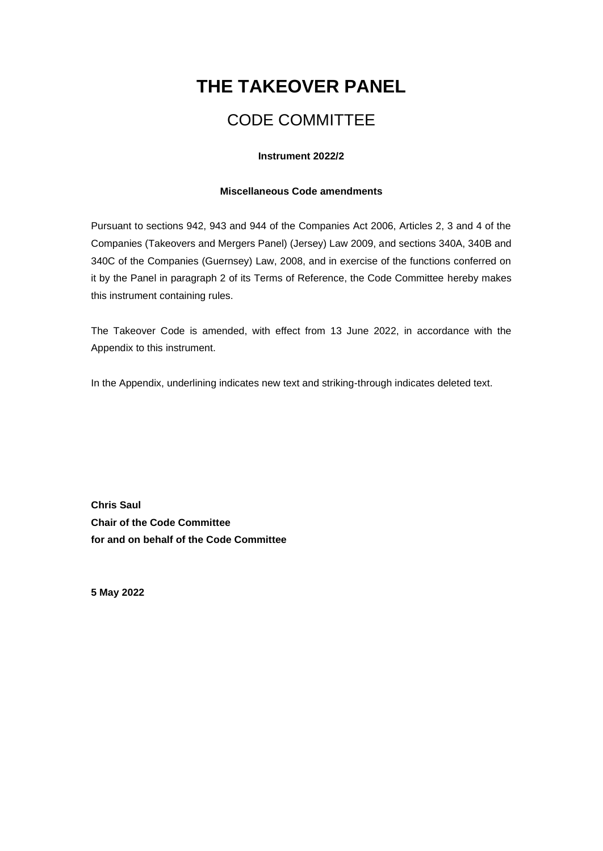# **THE TAKEOVER PANEL**

# CODE COMMITTEE

# **Instrument 2022/2**

# **Miscellaneous Code amendments**

Pursuant to sections 942, 943 and 944 of the Companies Act 2006, Articles 2, 3 and 4 of the Companies (Takeovers and Mergers Panel) (Jersey) Law 2009, and sections 340A, 340B and 340C of the Companies (Guernsey) Law, 2008, and in exercise of the functions conferred on it by the Panel in paragraph 2 of its Terms of Reference, the Code Committee hereby makes this instrument containing rules.

The Takeover Code is amended, with effect from 13 June 2022, in accordance with the Appendix to this instrument.

In the Appendix, underlining indicates new text and striking-through indicates deleted text.

**Chris Saul Chair of the Code Committee for and on behalf of the Code Committee**

**5 May 2022**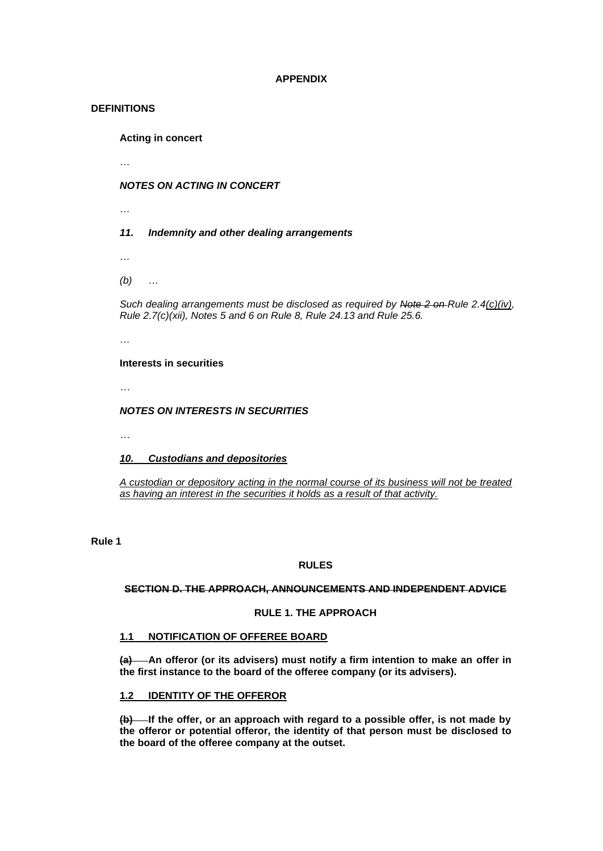# **APPENDIX**

# **DEFINITIONS**

**Acting in concert**

…

# *NOTES ON ACTING IN CONCERT*

…

# *11. Indemnity and other dealing arrangements*

…

*(b)* …

*Such dealing arrangements must be disclosed as required by Note 2 on Rule 2.4(c)(iv), Rule 2.7(c)(xii), Notes 5 and 6 on Rule 8, Rule 24.13 and Rule 25.6.*

…

# **Interests in securities**

*…*

# *NOTES ON INTERESTS IN SECURITIES*

*…*

# *10. Custodians and depositories*

*A custodian or depository acting in the normal course of its business will not be treated as having an interest in the securities it holds as a result of that activity.*

**Rule 1**

## **RULES**

## **SECTION D. THE APPROACH, ANNOUNCEMENTS AND INDEPENDENT ADVICE**

## **RULE 1. THE APPROACH**

## **1.1 NOTIFICATION OF OFFEREE BOARD**

**(a) An offeror (or its advisers) must notify a firm intention to make an offer in the first instance to the board of the offeree company (or its advisers).**

# **1.2 IDENTITY OF THE OFFEROR**

**(b) If the offer, or an approach with regard to a possible offer, is not made by the offeror or potential offeror, the identity of that person must be disclosed to the board of the offeree company at the outset.**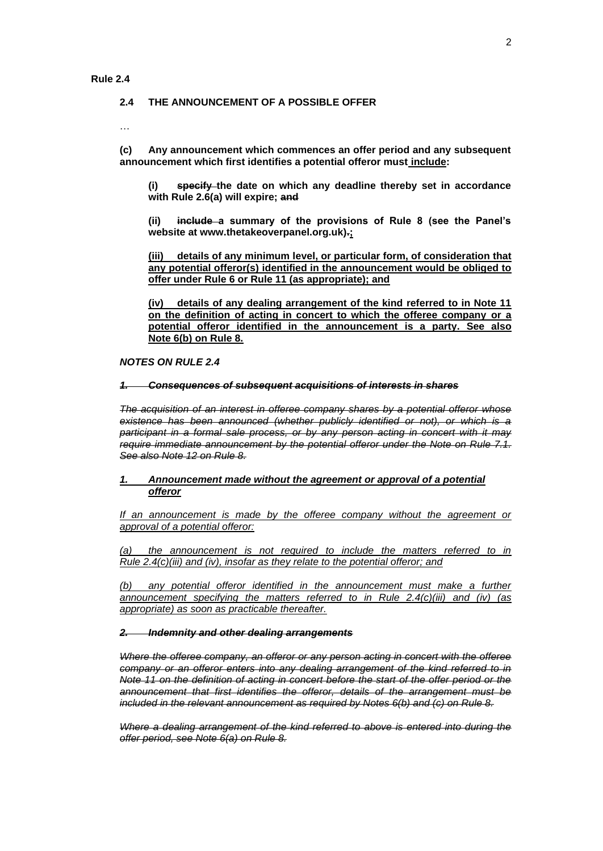#### **Rule 2.4**

#### **2.4 THE ANNOUNCEMENT OF A POSSIBLE OFFER**

…

**(c) Any announcement which commences an offer period and any subsequent announcement which first identifies a potential offeror must include:**

**(i) specify the date on which any deadline thereby set in accordance with Rule 2.6(a) will expire; and**

**(ii) include a summary of the provisions of Rule 8 (see the Panel's website at www.thetakeoverpanel.org.uk).;**

**(iii) details of any minimum level, or particular form, of consideration that any potential offeror(s) identified in the announcement would be obliged to offer under Rule 6 or Rule 11 (as appropriate); and**

**(iv) details of any dealing arrangement of the kind referred to in Note 11 on the definition of acting in concert to which the offeree company or a potential offeror identified in the announcement is a party. See also Note 6(b) on Rule 8.**

*NOTES ON RULE 2.4*

#### *1. Consequences of subsequent acquisitions of interests in shares*

*The acquisition of an interest in offeree company shares by a potential offeror whose existence has been announced (whether publicly identified or not), or which is a participant in a formal sale process, or by any person acting in concert with it may require immediate announcement by the potential offeror under the Note on Rule 7.1. See also Note 12 on Rule 8.*

#### *1. Announcement made without the agreement or approval of a potential offeror*

*If an announcement is made by the offeree company without the agreement or approval of a potential offeror:*

*(a) the announcement is not required to include the matters referred to in Rule 2.4(c)(iii) and (iv), insofar as they relate to the potential offeror; and*

*(b) any potential offeror identified in the announcement must make a further announcement specifying the matters referred to in Rule 2.4(c)(iii) and (iv) (as appropriate) as soon as practicable thereafter.*

#### *2. Indemnity and other dealing arrangements*

*Where the offeree company, an offeror or any person acting in concert with the offeree company or an offeror enters into any dealing arrangement of the kind referred to in Note 11 on the definition of acting in concert before the start of the offer period or the announcement that first identifies the offeror, details of the arrangement must be included in the relevant announcement as required by Notes 6(b) and (c) on Rule 8.*

*Where a dealing arrangement of the kind referred to above is entered into during the offer period, see Note 6(a) on Rule 8.*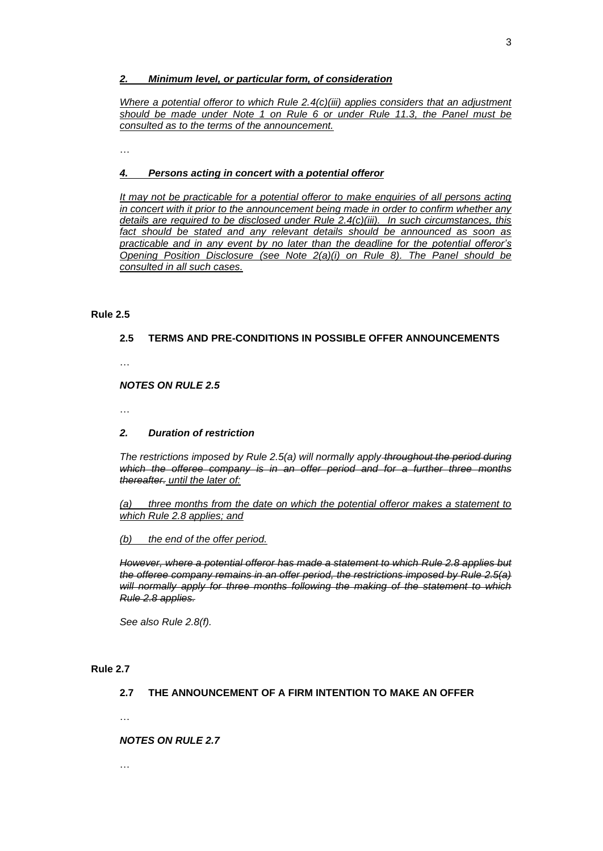#### *2. Minimum level, or particular form, of consideration*

*Where a potential offeror to which Rule 2.4(c)(iii) applies considers that an adjustment should be made under Note 1 on Rule 6 or under Rule 11.3, the Panel must be consulted as to the terms of the announcement.*

…

## *4. Persons acting in concert with a potential offeror*

*It may not be practicable for a potential offeror to make enquiries of all persons acting in concert with it prior to the announcement being made in order to confirm whether any details are required to be disclosed under Rule 2.4(c)(iii). In such circumstances, this fact should be stated and any relevant details should be announced as soon as practicable and in any event by no later than the deadline for the potential offeror's Opening Position Disclosure (see Note 2(a)(i) on Rule 8). The Panel should be consulted in all such cases.*

#### **Rule 2.5**

# **2.5 TERMS AND PRE-CONDITIONS IN POSSIBLE OFFER ANNOUNCEMENTS**

…

#### *NOTES ON RULE 2.5*

…

#### *2. Duration of restriction*

*The restrictions imposed by Rule 2.5(a) will normally apply throughout the period during which the offeree company is in an offer period and for a further three months thereafter. until the later of:*

*(a) three months from the date on which the potential offeror makes a statement to which Rule 2.8 applies; and*

#### *(b) the end of the offer period.*

*However, where a potential offeror has made a statement to which Rule 2.8 applies but the offeree company remains in an offer period, the restrictions imposed by Rule 2.5(a) will normally apply for three months following the making of the statement to which Rule 2.8 applies.*

*See also Rule 2.8(f).*

#### **Rule 2.7**

# **2.7 THE ANNOUNCEMENT OF A FIRM INTENTION TO MAKE AN OFFER**

…

# *NOTES ON RULE 2.7*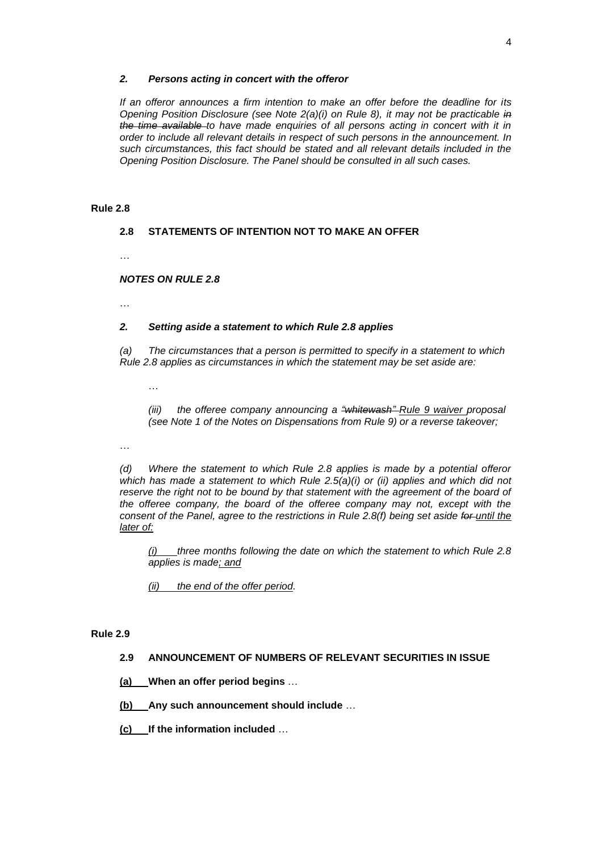## *2. Persons acting in concert with the offeror*

*If an offeror announces a firm intention to make an offer before the deadline for its Opening Position Disclosure (see Note 2(a)(i) on Rule 8), it may not be practicable in the time available to have made enquiries of all persons acting in concert with it in order to include all relevant details in respect of such persons in the announcement. In such circumstances, this fact should be stated and all relevant details included in the Opening Position Disclosure. The Panel should be consulted in all such cases.*

## **Rule 2.8**

# **2.8 STATEMENTS OF INTENTION NOT TO MAKE AN OFFER**

…

# *NOTES ON RULE 2.8*

…

# *2. Setting aside a statement to which Rule 2.8 applies*

*(a) The circumstances that a person is permitted to specify in a statement to which Rule 2.8 applies as circumstances in which the statement may be set aside are:*

…

*(iii) the offeree company announcing a "whitewash" Rule 9 waiver proposal (see Note 1 of the Notes on Dispensations from Rule 9) or a reverse takeover;*

…

*(d) Where the statement to which Rule 2.8 applies is made by a potential offeror which has made a statement to which Rule 2.5(a)(i) or (ii) applies and which did not*  reserve the right not to be bound by that statement with the agreement of the board of *the offeree company, the board of the offeree company may not, except with the consent of the Panel, agree to the restrictions in Rule 2.8(f) being set aside for until the later of:*

*(i) three months following the date on which the statement to which Rule 2.8 applies is made; and*

*(ii) the end of the offer period.*

#### **Rule 2.9**

## **2.9 ANNOUNCEMENT OF NUMBERS OF RELEVANT SECURITIES IN ISSUE**

**(a) When an offer period begins** …

**(b) Any such announcement should include** …

**(c) If the information included** …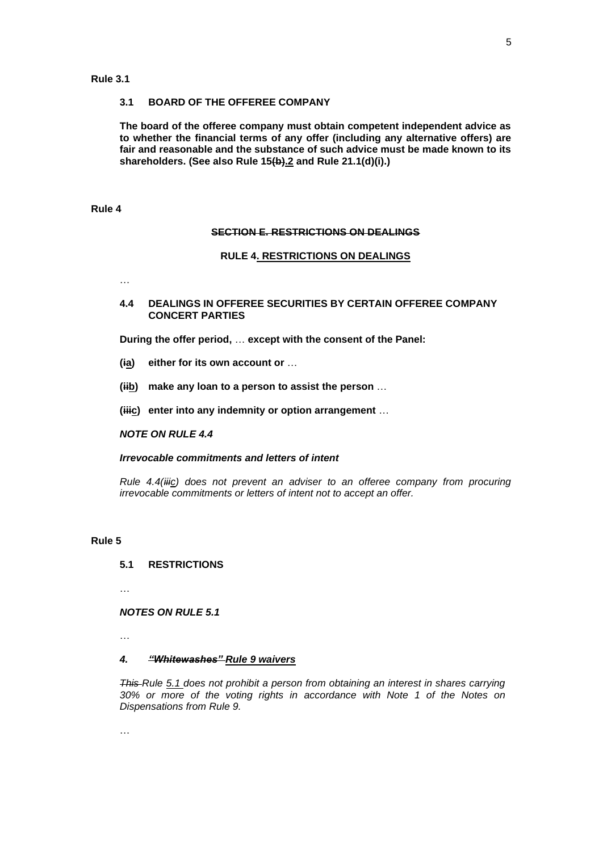#### **3.1 BOARD OF THE OFFEREE COMPANY**

**The board of the offeree company must obtain competent independent advice as to whether the financial terms of any offer (including any alternative offers) are fair and reasonable and the substance of such advice must be made known to its shareholders. (See also Rule 15(b).2 and Rule 21.1(d)(i).)**

**Rule 4**

#### **SECTION E. RESTRICTIONS ON DEALINGS**

#### **RULE 4. RESTRICTIONS ON DEALINGS**

…

## **4.4 DEALINGS IN OFFEREE SECURITIES BY CERTAIN OFFEREE COMPANY CONCERT PARTIES**

**During the offer period,** … **except with the consent of the Panel:**

- **(ia) either for its own account or** …
- **(iib) make any loan to a person to assist the person** …
- **(iiic) enter into any indemnity or option arrangement** …

*NOTE ON RULE 4.4*

## *Irrevocable commitments and letters of intent*

*Rule 4.4(iiic) does not prevent an adviser to an offeree company from procuring irrevocable commitments or letters of intent not to accept an offer.*

#### **Rule 5**

**5.1 RESTRICTIONS**

…

#### *NOTES ON RULE 5.1*

…

# *4. "Whitewashes" Rule 9 waivers*

*This Rule 5.1 does not prohibit a person from obtaining an interest in shares carrying 30% or more of the voting rights in accordance with Note 1 of the Notes on Dispensations from Rule 9.*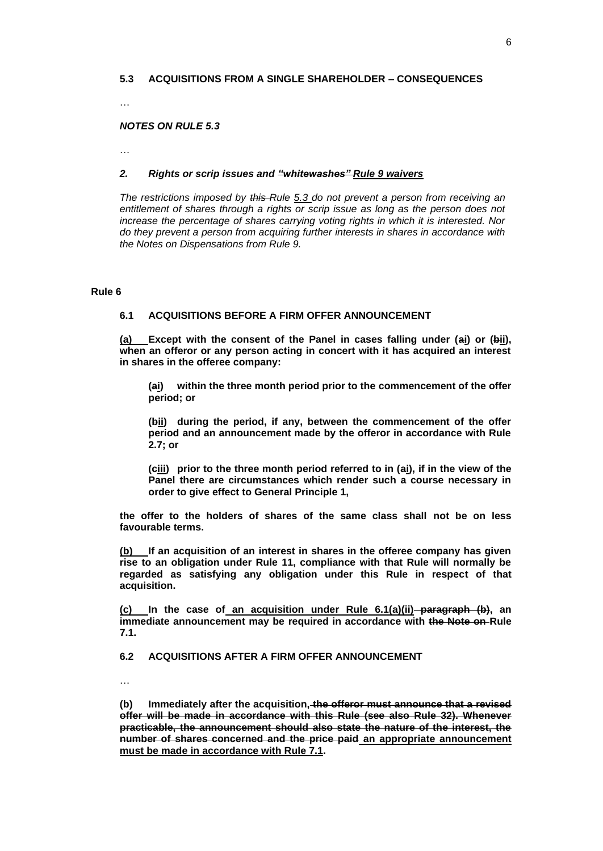#### **5.3 ACQUISITIONS FROM A SINGLE SHAREHOLDER – CONSEQUENCES**

…

## *NOTES ON RULE 5.3*

…

#### *2. Rights or scrip issues and "whitewashes" Rule 9 waivers*

*The restrictions imposed by this Rule 5.3 do not prevent a person from receiving an entitlement of shares through a rights or scrip issue as long as the person does not increase the percentage of shares carrying voting rights in which it is interested. Nor do they prevent a person from acquiring further interests in shares in accordance with the Notes on Dispensations from Rule 9.*

#### **Rule 6**

## **6.1 ACQUISITIONS BEFORE A FIRM OFFER ANNOUNCEMENT**

**(a) Except with the consent of the Panel in cases falling under (ai) or (bii), when an offeror or any person acting in concert with it has acquired an interest in shares in the offeree company:**

**(ai) within the three month period prior to the commencement of the offer period; or**

**(bii) during the period, if any, between the commencement of the offer period and an announcement made by the offeror in accordance with Rule 2.7; or**

**(ciii) prior to the three month period referred to in (ai), if in the view of the Panel there are circumstances which render such a course necessary in order to give effect to General Principle 1,**

**the offer to the holders of shares of the same class shall not be on less favourable terms.**

**(b) If an acquisition of an interest in shares in the offeree company has given rise to an obligation under Rule 11, compliance with that Rule will normally be regarded as satisfying any obligation under this Rule in respect of that acquisition.**

**(c) In the case of an acquisition under Rule 6.1(a)(ii) paragraph (b), an immediate announcement may be required in accordance with the Note on Rule 7.1.**

**6.2 ACQUISITIONS AFTER A FIRM OFFER ANNOUNCEMENT**

…

**(b) Immediately after the acquisition, the offeror must announce that a revised offer will be made in accordance with this Rule (see also Rule 32). Whenever practicable, the announcement should also state the nature of the interest, the number of shares concerned and the price paid an appropriate announcement must be made in accordance with Rule 7.1.**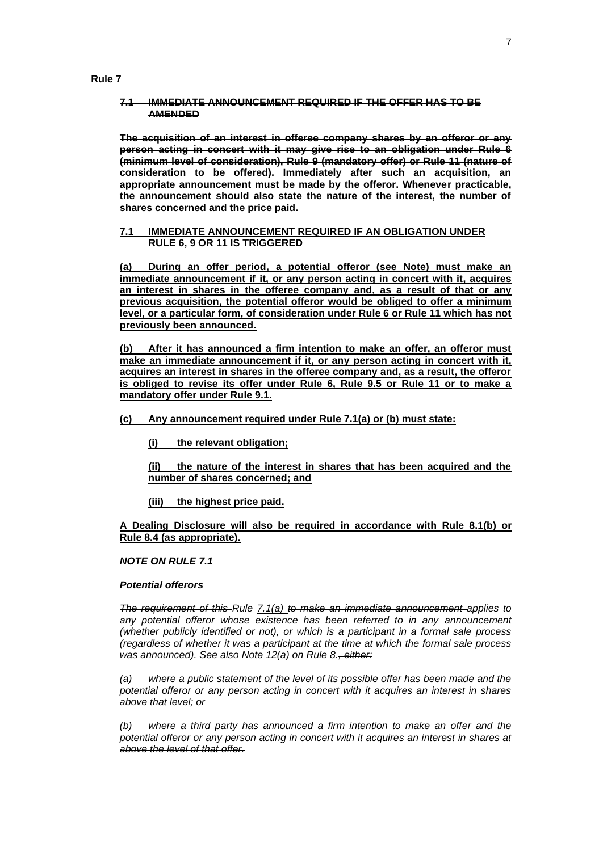# **7.1 IMMEDIATE ANNOUNCEMENT REQUIRED IF THE OFFER HAS TO BE AMENDED**

**The acquisition of an interest in offeree company shares by an offeror or any person acting in concert with it may give rise to an obligation under Rule 6 (minimum level of consideration), Rule 9 (mandatory offer) or Rule 11 (nature of consideration to be offered). Immediately after such an acquisition, an appropriate announcement must be made by the offeror. Whenever practicable, the announcement should also state the nature of the interest, the number of shares concerned and the price paid.**

# **7.1 IMMEDIATE ANNOUNCEMENT REQUIRED IF AN OBLIGATION UNDER RULE 6, 9 OR 11 IS TRIGGERED**

**(a) During an offer period, a potential offeror (see Note) must make an immediate announcement if it, or any person acting in concert with it, acquires an interest in shares in the offeree company and, as a result of that or any previous acquisition, the potential offeror would be obliged to offer a minimum level, or a particular form, of consideration under Rule 6 or Rule 11 which has not previously been announced.**

**(b) After it has announced a firm intention to make an offer, an offeror must make an immediate announcement if it, or any person acting in concert with it, acquires an interest in shares in the offeree company and, as a result, the offeror is obliged to revise its offer under Rule 6, Rule 9.5 or Rule 11 or to make a mandatory offer under Rule 9.1.**

**(c) Any announcement required under Rule 7.1(a) or (b) must state:**

**(i) the relevant obligation;**

**(ii) the nature of the interest in shares that has been acquired and the number of shares concerned; and**

**(iii) the highest price paid.**

**A Dealing Disclosure will also be required in accordance with Rule 8.1(b) or Rule 8.4 (as appropriate).**

# *NOTE ON RULE 7.1*

## *Potential offerors*

*The requirement of this Rule 7.1(a) to make an immediate announcement applies to*  any potential offeror whose existence has been referred to in any announcement *(whether publicly identified or not), or which is a participant in a formal sale process (regardless of whether it was a participant at the time at which the formal sale process was announced). See also Note 12(a) on Rule 8., either:*

*(a) where a public statement of the level of its possible offer has been made and the potential offeror or any person acting in concert with it acquires an interest in shares above that level; or*

*(b) where a third party has announced a firm intention to make an offer and the potential offeror or any person acting in concert with it acquires an interest in shares at above the level of that offer.*

**Rule 7**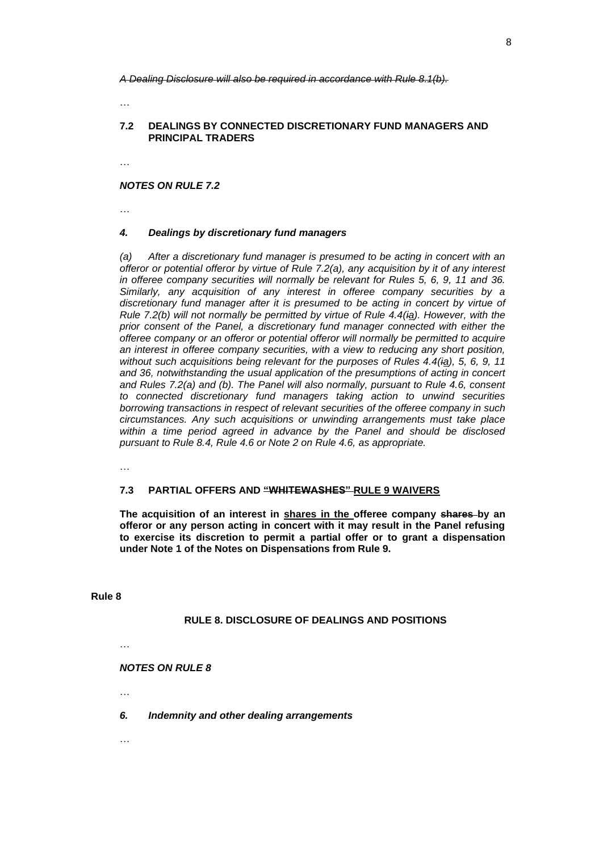*A Dealing Disclosure will also be required in accordance with Rule 8.1(b).*

…

# **7.2 DEALINGS BY CONNECTED DISCRETIONARY FUND MANAGERS AND PRINCIPAL TRADERS**

…

## *NOTES ON RULE 7.2*

…

#### *4. Dealings by discretionary fund managers*

*(a) After a discretionary fund manager is presumed to be acting in concert with an offeror or potential offeror by virtue of Rule 7.2(a), any acquisition by it of any interest in offeree company securities will normally be relevant for Rules 5, 6, 9, 11 and 36. Similarly, any acquisition of any interest in offeree company securities by a*  discretionary fund manager after it is presumed to be acting in concert by virtue of *Rule 7.2(b) will not normally be permitted by virtue of Rule 4.4(ia). However, with the prior consent of the Panel, a discretionary fund manager connected with either the offeree company or an offeror or potential offeror will normally be permitted to acquire an interest in offeree company securities, with a view to reducing any short position, without such acquisitions being relevant for the purposes of Rules 4.4(ia), 5, 6, 9, 11 and 36, notwithstanding the usual application of the presumptions of acting in concert and Rules 7.2(a) and (b). The Panel will also normally, pursuant to Rule 4.6, consent to connected discretionary fund managers taking action to unwind securities borrowing transactions in respect of relevant securities of the offeree company in such circumstances. Any such acquisitions or unwinding arrangements must take place within a time period agreed in advance by the Panel and should be disclosed pursuant to Rule 8.4, Rule 4.6 or Note 2 on Rule 4.6, as appropriate.*

…

## **7.3 PARTIAL OFFERS AND "WHITEWASHES" RULE 9 WAIVERS**

**The acquisition of an interest in shares in the offeree company shares by an offeror or any person acting in concert with it may result in the Panel refusing to exercise its discretion to permit a partial offer or to grant a dispensation under Note 1 of the Notes on Dispensations from Rule 9.**

**Rule 8**

#### **RULE 8. DISCLOSURE OF DEALINGS AND POSITIONS**

…

*NOTES ON RULE 8*

…

*6. Indemnity and other dealing arrangements*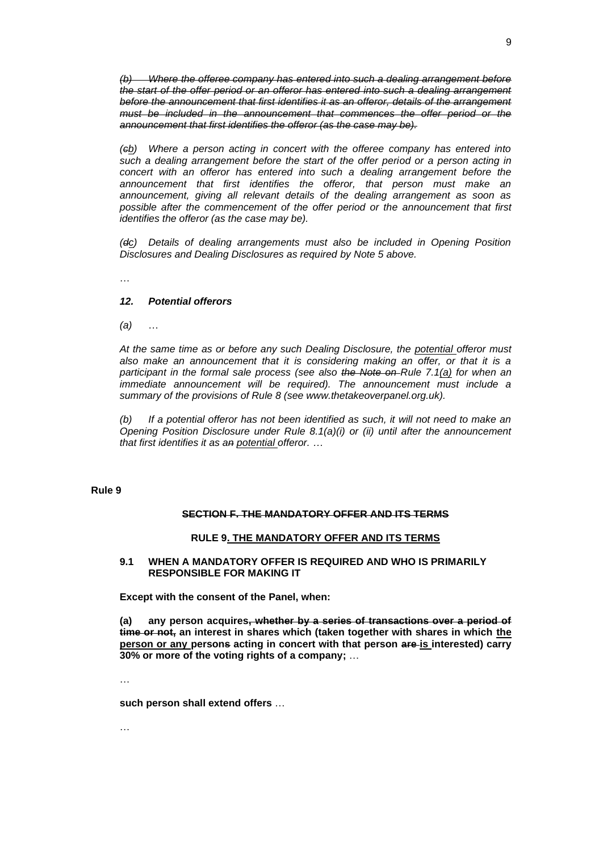*(b) Where the offeree company has entered into such a dealing arrangement before the start of the offer period or an offeror has entered into such a dealing arrangement before the announcement that first identifies it as an offeror, details of the arrangement must be included in the announcement that commences the offer period or the announcement that first identifies the offeror (as the case may be).*

*(cb) Where a person acting in concert with the offeree company has entered into such a dealing arrangement before the start of the offer period or a person acting in concert with an offeror has entered into such a dealing arrangement before the announcement that first identifies the offeror, that person must make an announcement, giving all relevant details of the dealing arrangement as soon as possible after the commencement of the offer period or the announcement that first identifies the offeror (as the case may be).*

*(dc) Details of dealing arrangements must also be included in Opening Position Disclosures and Dealing Disclosures as required by Note 5 above.*

…

#### *12. Potential offerors*

*(a)* …

*At the same time as or before any such Dealing Disclosure, the potential offeror must also make an announcement that it is considering making an offer, or that it is a participant in the formal sale process (see also the Note on Rule 7.1(a) for when an immediate announcement will be required). The announcement must include a summary of the provisions of Rule 8 (see www.thetakeoverpanel.org.uk).*

*(b) If a potential offeror has not been identified as such, it will not need to make an Opening Position Disclosure under Rule 8.1(a)(i) or (ii) until after the announcement that first identifies it as an potential offeror. …*

#### **Rule 9**

#### **SECTION F. THE MANDATORY OFFER AND ITS TERMS**

#### **RULE 9. THE MANDATORY OFFER AND ITS TERMS**

#### **9.1 WHEN A MANDATORY OFFER IS REQUIRED AND WHO IS PRIMARILY RESPONSIBLE FOR MAKING IT**

**Except with the consent of the Panel, when:**

**(a) any person acquires, whether by a series of transactions over a period of time or not, an interest in shares which (taken together with shares in which the person or any persons acting in concert with that person are is interested) carry 30% or more of the voting rights of a company;** …

…

**such person shall extend offers** …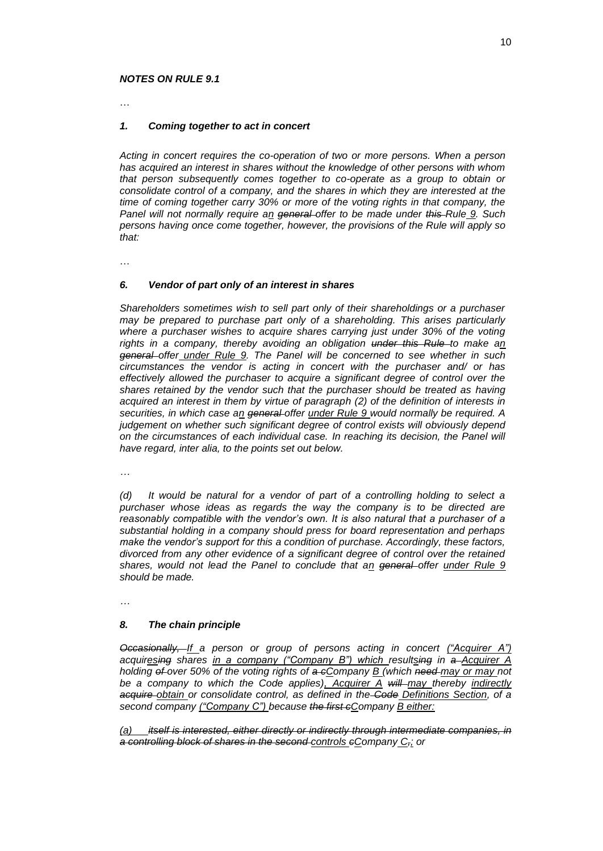#### *NOTES ON RULE 9.1*

…

## *1. Coming together to act in concert*

*Acting in concert requires the co-operation of two or more persons. When a person has acquired an interest in shares without the knowledge of other persons with whom that person subsequently comes together to co-operate as a group to obtain or consolidate control of a company, and the shares in which they are interested at the time of coming together carry 30% or more of the voting rights in that company, the Panel will not normally require an general offer to be made under this Rule 9. Such persons having once come together, however, the provisions of the Rule will apply so that:*

…

#### *6. Vendor of part only of an interest in shares*

*Shareholders sometimes wish to sell part only of their shareholdings or a purchaser may be prepared to purchase part only of a shareholding. This arises particularly where a purchaser wishes to acquire shares carrying just under 30% of the voting rights in a company, thereby avoiding an obligation under this Rule to make an general offer under Rule 9. The Panel will be concerned to see whether in such circumstances the vendor is acting in concert with the purchaser and/ or has effectively allowed the purchaser to acquire a significant degree of control over the shares retained by the vendor such that the purchaser should be treated as having acquired an interest in them by virtue of paragraph (2) of the definition of interests in securities, in which case an general offer under Rule 9 would normally be required. A judgement on whether such significant degree of control exists will obviously depend on the circumstances of each individual case. In reaching its decision, the Panel will have regard, inter alia, to the points set out below.*

*…*

*(d) It would be natural for a vendor of part of a controlling holding to select a purchaser whose ideas as regards the way the company is to be directed are reasonably compatible with the vendor's own. It is also natural that a purchaser of a substantial holding in a company should press for board representation and perhaps make the vendor's support for this a condition of purchase. Accordingly, these factors, divorced from any other evidence of a significant degree of control over the retained shares, would not lead the Panel to conclude that an general offer under Rule 9 should be made.*

*…*

#### *8. The chain principle*

*Occasionally, If a person or group of persons acting in concert ("Acquirer A") acquiresing shares in a company ("Company B") which resultsing in a Acquirer A holding of over 50% of the voting rights of a cCompany B (which need may or may not be a company to which the Code applies), Acquirer A will may thereby indirectly acquire obtain or consolidate control, as defined in the Code Definitions Section, of a second company ("Company C") because the first cCompany B either:*

*(a) itself is interested, either directly or indirectly through intermediate companies, in a controlling block of shares in the second controls cCompany C,; or*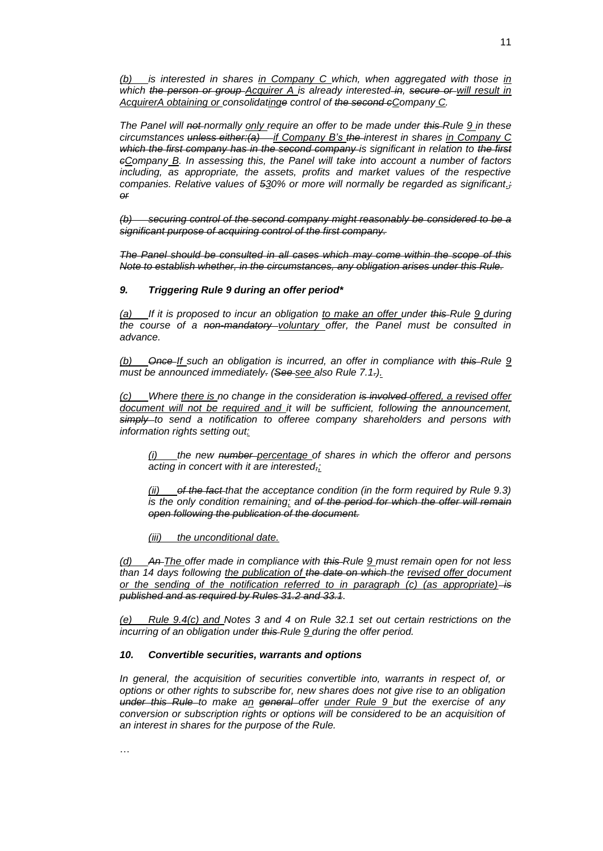*(b) is interested in shares in Company C which, when aggregated with those in which the person or group Acquirer A is already interested in, secure or will result in AcquirerA obtaining or consolidatinge control of the second cCompany C.*

*The Panel will not normally only require an offer to be made under this Rule 9 in these circumstances unless either:(a) if Company B's the interest in shares in Company C which the first company has in the second company is significant in relation to the first cCompany B. In assessing this, the Panel will take into account a number of factors including, as appropriate, the assets, profits and market values of the respective companies. Relative values of 530% or more will normally be regarded as significant.; or*

*(b) securing control of the second company might reasonably be considered to be a significant purpose of acquiring control of the first company.*

*The Panel should be consulted in all cases which may come within the scope of this Note to establish whether, in the circumstances, any obligation arises under this Rule.*

#### *9. Triggering Rule 9 during an offer period\**

*(a) If it is proposed to incur an obligation to make an offer under this Rule 9 during the course of a non-mandatory voluntary offer, the Panel must be consulted in advance.*

*(b) Once If such an obligation is incurred, an offer in compliance with this Rule 9 must be announced immediately. (See see also Rule 7.1.).*

*(c) Where there is no change in the consideration is involved offered, a revised offer document will not be required and it will be sufficient, following the announcement, simply to send a notification to offeree company shareholders and persons with information rights setting out:*

*(i) the new number percentage of shares in which the offeror and persons acting in concert with it are interested,;*

*(ii) of the fact that the acceptance condition (in the form required by Rule 9.3) is the only condition remaining; and of the period for which the offer will remain open following the publication of the document.*

*(iii) the unconditional date.*

…

*(d) An The offer made in compliance with this Rule 9 must remain open for not less than 14 days following the publication of the date on which the revised offer document or the sending of the notification referred to in paragraph (c) (as appropriate) is published and as required by Rules 31.2 and 33.1.*

*(e) Rule 9.4(c) and Notes 3 and 4 on Rule 32.1 set out certain restrictions on the incurring of an obligation under this Rule 9 during the offer period.*

#### *10. Convertible securities, warrants and options*

In general, the acquisition of securities convertible into, warrants in respect of, or *options or other rights to subscribe for, new shares does not give rise to an obligation under this Rule to make an general offer under Rule 9 but the exercise of any conversion or subscription rights or options will be considered to be an acquisition of an interest in shares for the purpose of the Rule.*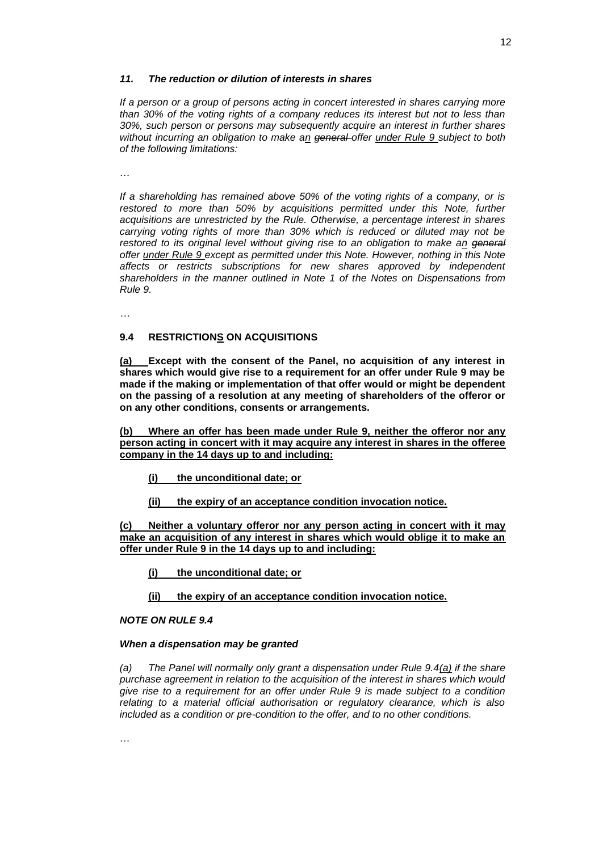#### *11. The reduction or dilution of interests in shares*

*If a person or a group of persons acting in concert interested in shares carrying more than 30% of the voting rights of a company reduces its interest but not to less than 30%, such person or persons may subsequently acquire an interest in further shares without incurring an obligation to make an general offer under Rule 9 subject to both of the following limitations:*

…

*If a shareholding has remained above 50% of the voting rights of a company, or is*  restored to more than 50% by acquisitions permitted under this Note, further *acquisitions are unrestricted by the Rule. Otherwise, a percentage interest in shares carrying voting rights of more than 30% which is reduced or diluted may not be restored to its original level without giving rise to an obligation to make an general offer under Rule 9 except as permitted under this Note. However, nothing in this Note affects or restricts subscriptions for new shares approved by independent shareholders in the manner outlined in Note 1 of the Notes on Dispensations from Rule 9.*

*…*

# **9.4 RESTRICTIONS ON ACQUISITIONS**

**(a) Except with the consent of the Panel, no acquisition of any interest in shares which would give rise to a requirement for an offer under Rule 9 may be made if the making or implementation of that offer would or might be dependent on the passing of a resolution at any meeting of shareholders of the offeror or on any other conditions, consents or arrangements.**

**(b) Where an offer has been made under Rule 9, neither the offeror nor any person acting in concert with it may acquire any interest in shares in the offeree company in the 14 days up to and including:**

- **(i) the unconditional date; or**
- **(ii) the expiry of an acceptance condition invocation notice.**

**(c) Neither a voluntary offeror nor any person acting in concert with it may make an acquisition of any interest in shares which would oblige it to make an offer under Rule 9 in the 14 days up to and including:**

**(i) the unconditional date; or**

**(ii) the expiry of an acceptance condition invocation notice.**

## *NOTE ON RULE 9.4*

#### *When a dispensation may be granted*

*(a) The Panel will normally only grant a dispensation under Rule 9.4(a) if the share purchase agreement in relation to the acquisition of the interest in shares which would give rise to a requirement for an offer under Rule 9 is made subject to a condition relating to a material official authorisation or regulatory clearance, which is also included as a condition or pre-condition to the offer, and to no other conditions.*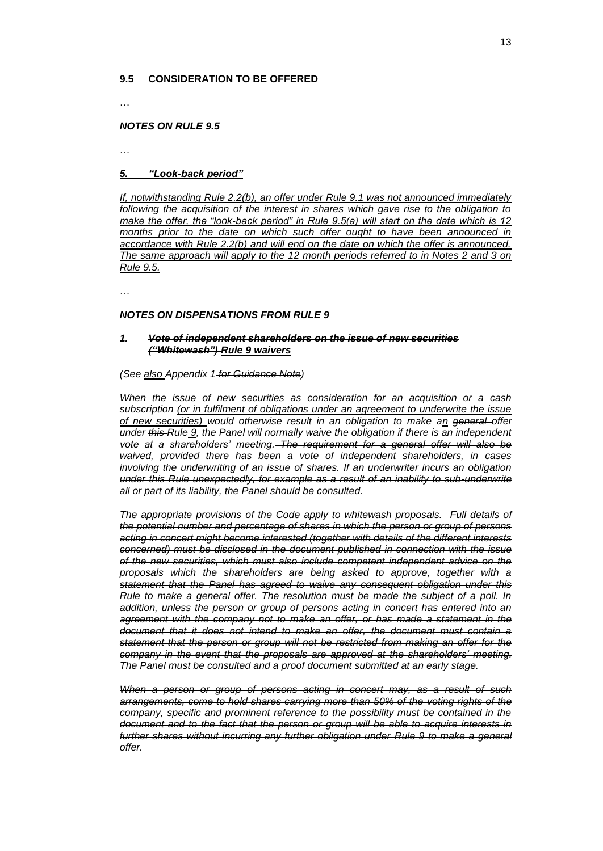## **9.5 CONSIDERATION TO BE OFFERED**

…

#### *NOTES ON RULE 9.5*

…

## *5. "Look-back period"*

*If, notwithstanding Rule 2.2(b), an offer under Rule 9.1 was not announced immediately following the acquisition of the interest in shares which gave rise to the obligation to make the offer, the "look-back period" in Rule 9.5(a) will start on the date which is 12 months prior to the date on which such offer ought to have been announced in accordance with Rule 2.2(b) and will end on the date on which the offer is announced. The same approach will apply to the 12 month periods referred to in Notes 2 and 3 on Rule 9.5.*

…

#### *NOTES ON DISPENSATIONS FROM RULE 9*

#### *1. Vote of independent shareholders on the issue of new securities ("Whitewash") Rule 9 waivers*

#### *(See also Appendix 1 for Guidance Note)*

*When the issue of new securities as consideration for an acquisition or a cash subscription (or in fulfilment of obligations under an agreement to underwrite the issue of new securities) would otherwise result in an obligation to make an general offer under this Rule 9, the Panel will normally waive the obligation if there is an independent vote at a shareholders' meeting. The requirement for a general offer will also be waived, provided there has been a vote of independent shareholders, in cases involving the underwriting of an issue of shares. If an underwriter incurs an obligation under this Rule unexpectedly, for example as a result of an inability to sub-underwrite all or part of its liability, the Panel should be consulted.*

*The appropriate provisions of the Code apply to whitewash proposals. Full details of the potential number and percentage of shares in which the person or group of persons acting in concert might become interested (together with details of the different interests concerned) must be disclosed in the document published in connection with the issue of the new securities, which must also include competent independent advice on the proposals which the shareholders are being asked to approve, together with a statement that the Panel has agreed to waive any consequent obligation under this Rule to make a general offer. The resolution must be made the subject of a poll. In addition, unless the person or group of persons acting in concert has entered into an agreement with the company not to make an offer, or has made a statement in the document that it does not intend to make an offer, the document must contain a statement that the person or group will not be restricted from making an offer for the company in the event that the proposals are approved at the shareholders' meeting. The Panel must be consulted and a proof document submitted at an early stage.*

*When a person or group of persons acting in concert may, as a result of such arrangements, come to hold shares carrying more than 50% of the voting rights of the company, specific and prominent reference to the possibility must be contained in the document and to the fact that the person or group will be able to acquire interests in further shares without incurring any further obligation under Rule 9 to make a general offer.*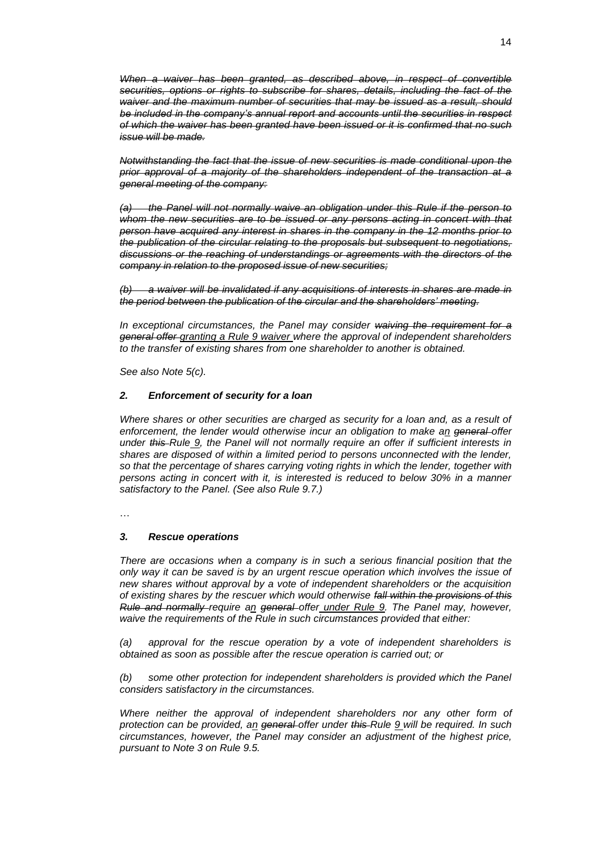*When a waiver has been granted, as described above, in respect of convertible securities, options or rights to subscribe for shares, details, including the fact of the waiver and the maximum number of securities that may be issued as a result, should be included in the company's annual report and accounts until the securities in respect of which the waiver has been granted have been issued or it is confirmed that no such issue will be made.*

*Notwithstanding the fact that the issue of new securities is made conditional upon the prior approval of a majority of the shareholders independent of the transaction at a general meeting of the company:*

*(a) the Panel will not normally waive an obligation under this Rule if the person to whom the new securities are to be issued or any persons acting in concert with that person have acquired any interest in shares in the company in the 12 months prior to the publication of the circular relating to the proposals but subsequent to negotiations, discussions or the reaching of understandings or agreements with the directors of the company in relation to the proposed issue of new securities;*

*(b) a waiver will be invalidated if any acquisitions of interests in shares are made in the period between the publication of the circular and the shareholders' meeting.*

*In exceptional circumstances, the Panel may consider waiving the requirement for a general offer granting a Rule 9 waiver where the approval of independent shareholders to the transfer of existing shares from one shareholder to another is obtained.*

*See also Note 5(c).*

## *2. Enforcement of security for a loan*

*Where shares or other securities are charged as security for a loan and, as a result of enforcement, the lender would otherwise incur an obligation to make an general offer under this Rule 9, the Panel will not normally require an offer if sufficient interests in shares are disposed of within a limited period to persons unconnected with the lender, so that the percentage of shares carrying voting rights in which the lender, together with persons acting in concert with it, is interested is reduced to below 30% in a manner satisfactory to the Panel. (See also Rule 9.7.)*

…

## *3. Rescue operations*

*There are occasions when a company is in such a serious financial position that the only way it can be saved is by an urgent rescue operation which involves the issue of new shares without approval by a vote of independent shareholders or the acquisition of existing shares by the rescuer which would otherwise fall within the provisions of this Rule and normally require an general offer under Rule 9. The Panel may, however, waive the requirements of the Rule in such circumstances provided that either:*

*(a) approval for the rescue operation by a vote of independent shareholders is obtained as soon as possible after the rescue operation is carried out; or*

*(b) some other protection for independent shareholders is provided which the Panel considers satisfactory in the circumstances.*

*Where neither the approval of independent shareholders nor any other form of protection can be provided, an general offer under this Rule 9 will be required. In such circumstances, however, the Panel may consider an adjustment of the highest price, pursuant to Note 3 on Rule 9.5.*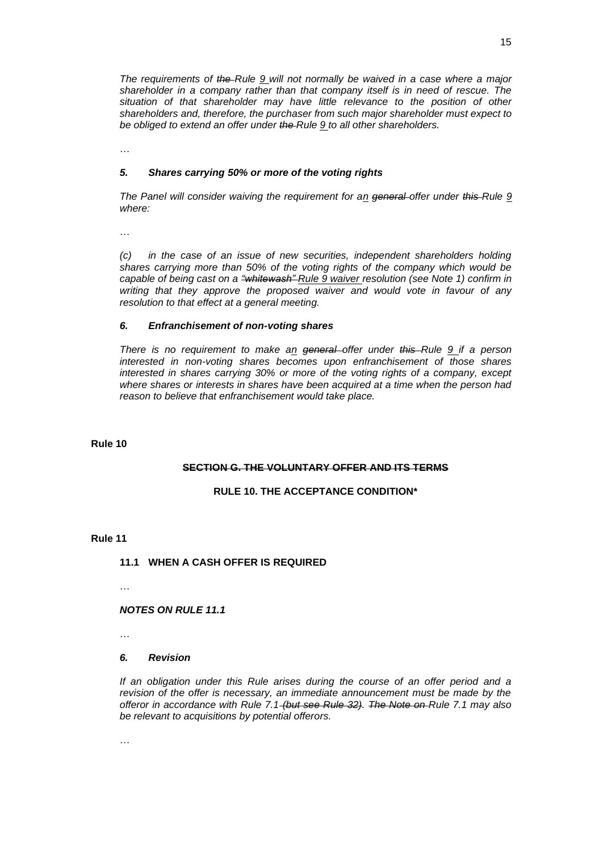*The requirements of the Rule 9 will not normally be waived in a case where a major shareholder in a company rather than that company itself is in need of rescue. The situation of that shareholder may have little relevance to the position of other shareholders and, therefore, the purchaser from such major shareholder must expect to be obliged to extend an offer under the Rule 9 to all other shareholders.*

…

# *5. Shares carrying 50% or more of the voting rights*

*The Panel will consider waiving the requirement for an general offer under this Rule 9 where:*

…

*(c) in the case of an issue of new securities, independent shareholders holding shares carrying more than 50% of the voting rights of the company which would be capable of being cast on a "whitewash" Rule 9 waiver resolution (see Note 1) confirm in*  writing that they approve the proposed waiver and would vote in favour of any *resolution to that effect at a general meeting.*

## *6. Enfranchisement of non-voting shares*

*There is no requirement to make an general offer under this Rule 9 if a person interested in non-voting shares becomes upon enfranchisement of those shares interested in shares carrying 30% or more of the voting rights of a company, except where shares or interests in shares have been acquired at a time when the person had reason to believe that enfranchisement would take place.*

## **Rule 10**

## **SECTION G. THE VOLUNTARY OFFER AND ITS TERMS**

# **RULE 10. THE ACCEPTANCE CONDITION\***

## **Rule 11**

# **11.1 WHEN A CASH OFFER IS REQUIRED**

…

## *NOTES ON RULE 11.1*

…

## *6. Revision*

*If an obligation under this Rule arises during the course of an offer period and a revision of the offer is necessary, an immediate announcement must be made by the offeror in accordance with Rule 7.1 (but see Rule 32). The Note on Rule 7.1 may also be relevant to acquisitions by potential offerors.*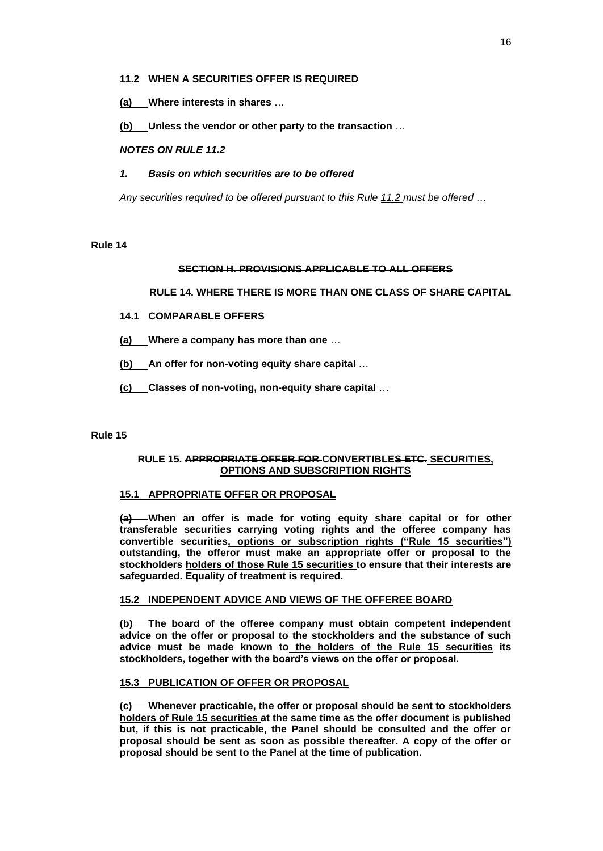## **11.2 WHEN A SECURITIES OFFER IS REQUIRED**

**(a) Where interests in shares** …

**(b) Unless the vendor or other party to the transaction** …

## *NOTES ON RULE 11.2*

## *1. Basis on which securities are to be offered*

*Any securities required to be offered pursuant to this Rule 11.2 must be offered* …

## **Rule 14**

# **SECTION H. PROVISIONS APPLICABLE TO ALL OFFERS**

# **RULE 14. WHERE THERE IS MORE THAN ONE CLASS OF SHARE CAPITAL**

- **14.1 COMPARABLE OFFERS**
- **(a) Where a company has more than one** …
- **(b) An offer for non-voting equity share capital** …
- **(c) Classes of non-voting, non-equity share capital** …

## **Rule 15**

# **RULE 15. APPROPRIATE OFFER FOR CONVERTIBLES ETC. SECURITIES, OPTIONS AND SUBSCRIPTION RIGHTS**

# **15.1 APPROPRIATE OFFER OR PROPOSAL**

**(a) When an offer is made for voting equity share capital or for other transferable securities carrying voting rights and the offeree company has convertible securities, options or subscription rights ("Rule 15 securities") outstanding, the offeror must make an appropriate offer or proposal to the stockholders holders of those Rule 15 securities to ensure that their interests are safeguarded. Equality of treatment is required.**

## **15.2 INDEPENDENT ADVICE AND VIEWS OF THE OFFEREE BOARD**

**(b) The board of the offeree company must obtain competent independent advice on the offer or proposal to the stockholders and the substance of such advice must be made known to the holders of the Rule 15 securities its stockholders, together with the board's views on the offer or proposal.**

## **15.3 PUBLICATION OF OFFER OR PROPOSAL**

**(c) Whenever practicable, the offer or proposal should be sent to stockholders holders of Rule 15 securities at the same time as the offer document is published but, if this is not practicable, the Panel should be consulted and the offer or proposal should be sent as soon as possible thereafter. A copy of the offer or proposal should be sent to the Panel at the time of publication.**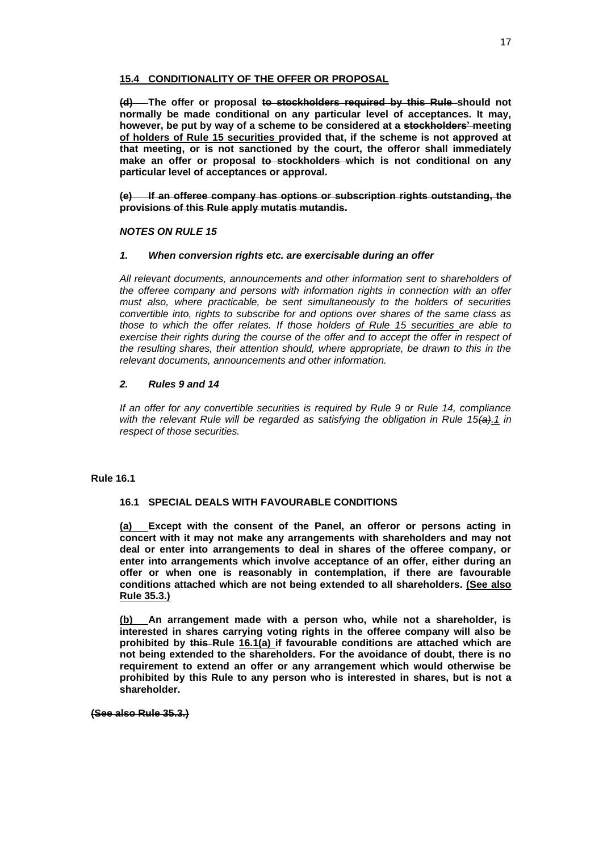# **15.4 CONDITIONALITY OF THE OFFER OR PROPOSAL**

**(d) The offer or proposal to stockholders required by this Rule should not normally be made conditional on any particular level of acceptances. It may, however, be put by way of a scheme to be considered at a stockholders' meeting of holders of Rule 15 securities provided that, if the scheme is not approved at that meeting, or is not sanctioned by the court, the offeror shall immediately make an offer or proposal to stockholders which is not conditional on any particular level of acceptances or approval.**

**(e) If an offeree company has options or subscription rights outstanding, the provisions of this Rule apply mutatis mutandis.**

## *NOTES ON RULE 15*

#### *1. When conversion rights etc. are exercisable during an offer*

*All relevant documents, announcements and other information sent to shareholders of the offeree company and persons with information rights in connection with an offer must also, where practicable, be sent simultaneously to the holders of securities convertible into, rights to subscribe for and options over shares of the same class as those to which the offer relates. If those holders of Rule 15 securities are able to exercise their rights during the course of the offer and to accept the offer in respect of the resulting shares, their attention should, where appropriate, be drawn to this in the relevant documents, announcements and other information.*

## *2. Rules 9 and 14*

*If an offer for any convertible securities is required by Rule 9 or Rule 14, compliance with the relevant Rule will be regarded as satisfying the obligation in Rule 15(a).1 in respect of those securities.*

#### **Rule 16.1**

# **16.1 SPECIAL DEALS WITH FAVOURABLE CONDITIONS**

**(a) Except with the consent of the Panel, an offeror or persons acting in concert with it may not make any arrangements with shareholders and may not deal or enter into arrangements to deal in shares of the offeree company, or enter into arrangements which involve acceptance of an offer, either during an offer or when one is reasonably in contemplation, if there are favourable conditions attached which are not being extended to all shareholders. (See also Rule 35.3.)**

**(b) An arrangement made with a person who, while not a shareholder, is interested in shares carrying voting rights in the offeree company will also be prohibited by this Rule 16.1(a) if favourable conditions are attached which are not being extended to the shareholders. For the avoidance of doubt, there is no requirement to extend an offer or any arrangement which would otherwise be prohibited by this Rule to any person who is interested in shares, but is not a shareholder.**

**(See also Rule 35.3.)**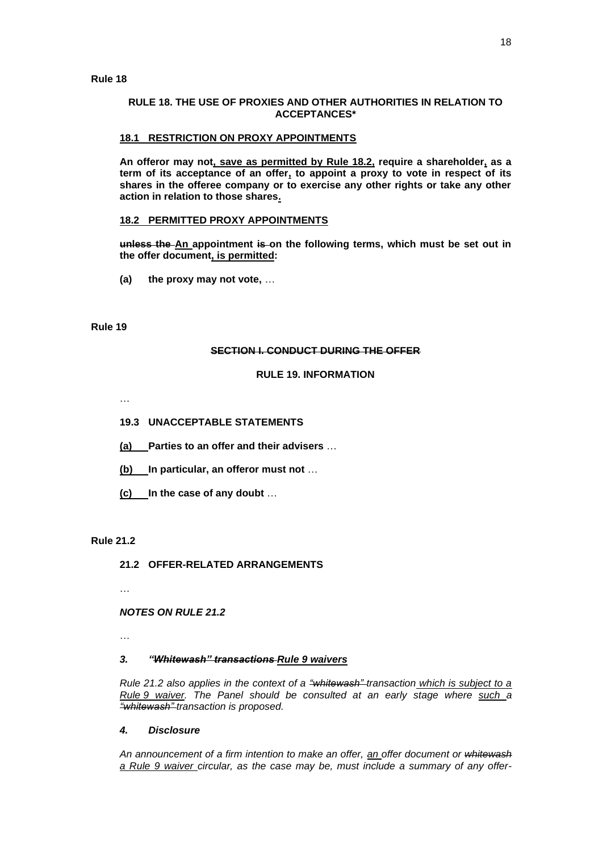# **RULE 18. THE USE OF PROXIES AND OTHER AUTHORITIES IN RELATION TO ACCEPTANCES\***

# **18.1 RESTRICTION ON PROXY APPOINTMENTS**

**An offeror may not, save as permitted by Rule 18.2, require a shareholder, as a term of its acceptance of an offer, to appoint a proxy to vote in respect of its shares in the offeree company or to exercise any other rights or take any other action in relation to those shares.**

## **18.2 PERMITTED PROXY APPOINTMENTS**

unless the An appointment is on the following terms, which must be set out in **the offer document, is permitted:**

**(a) the proxy may not vote,** …

**Rule 19**

# **SECTION I. CONDUCT DURING THE OFFER**

#### **RULE 19. INFORMATION**

…

## **19.3 UNACCEPTABLE STATEMENTS**

**(a) Parties to an offer and their advisers** …

- **(b) In particular, an offeror must not** …
- **(c) In the case of any doubt** …

## **Rule 21.2**

**21.2 OFFER-RELATED ARRANGEMENTS**

…

## *NOTES ON RULE 21.2*

…

## *3. "Whitewash" transactions Rule 9 waivers*

*Rule 21.2 also applies in the context of a "whitewash" transaction which is subject to a Rule 9 waiver. The Panel should be consulted at an early stage where such a "whitewash" transaction is proposed.*

#### *4. Disclosure*

*An announcement of a firm intention to make an offer, an offer document or whitewash a Rule 9 waiver circular, as the case may be, must include a summary of any offer-*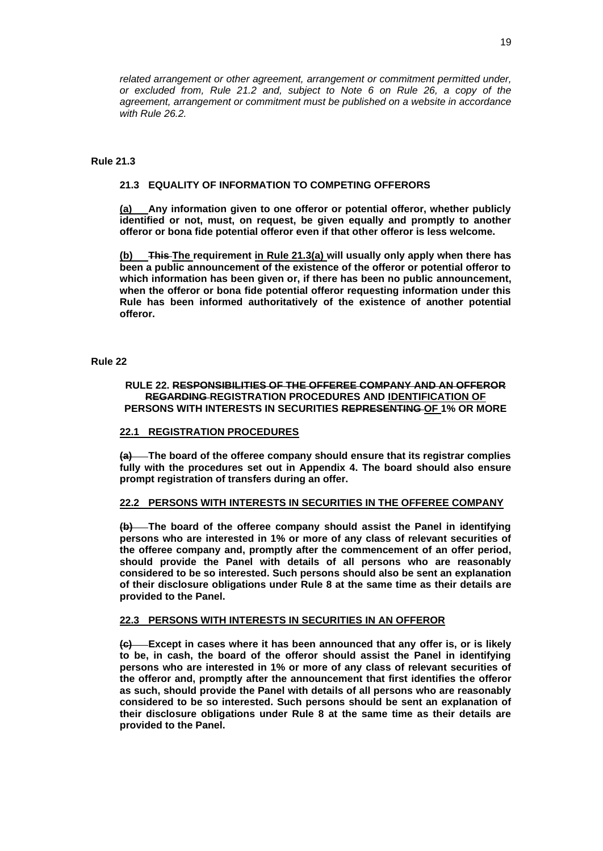*related arrangement or other agreement, arrangement or commitment permitted under, or excluded from, Rule 21.2 and, subject to Note 6 on Rule 26, a copy of the agreement, arrangement or commitment must be published on a website in accordance with Rule 26.2.*

#### **Rule 21.3**

## **21.3 EQUALITY OF INFORMATION TO COMPETING OFFERORS**

**(a) Any information given to one offeror or potential offeror, whether publicly identified or not, must, on request, be given equally and promptly to another offeror or bona fide potential offeror even if that other offeror is less welcome.**

**(b) This The requirement in Rule 21.3(a) will usually only apply when there has been a public announcement of the existence of the offeror or potential offeror to which information has been given or, if there has been no public announcement, when the offeror or bona fide potential offeror requesting information under this Rule has been informed authoritatively of the existence of another potential offeror.**

#### **Rule 22**

## **RULE 22. RESPONSIBILITIES OF THE OFFEREE COMPANY AND AN OFFEROR REGARDING REGISTRATION PROCEDURES AND IDENTIFICATION OF PERSONS WITH INTERESTS IN SECURITIES REPRESENTING OF 1% OR MORE**

#### **22.1 REGISTRATION PROCEDURES**

**(a) The board of the offeree company should ensure that its registrar complies fully with the procedures set out in Appendix 4. The board should also ensure prompt registration of transfers during an offer.**

# **22.2 PERSONS WITH INTERESTS IN SECURITIES IN THE OFFEREE COMPANY**

**(b) The board of the offeree company should assist the Panel in identifying persons who are interested in 1% or more of any class of relevant securities of the offeree company and, promptly after the commencement of an offer period, should provide the Panel with details of all persons who are reasonably considered to be so interested. Such persons should also be sent an explanation of their disclosure obligations under Rule 8 at the same time as their details are provided to the Panel.**

#### **22.3 PERSONS WITH INTERESTS IN SECURITIES IN AN OFFEROR**

**(c) Except in cases where it has been announced that any offer is, or is likely to be, in cash, the board of the offeror should assist the Panel in identifying persons who are interested in 1% or more of any class of relevant securities of the offeror and, promptly after the announcement that first identifies the offeror as such, should provide the Panel with details of all persons who are reasonably considered to be so interested. Such persons should be sent an explanation of their disclosure obligations under Rule 8 at the same time as their details are provided to the Panel.**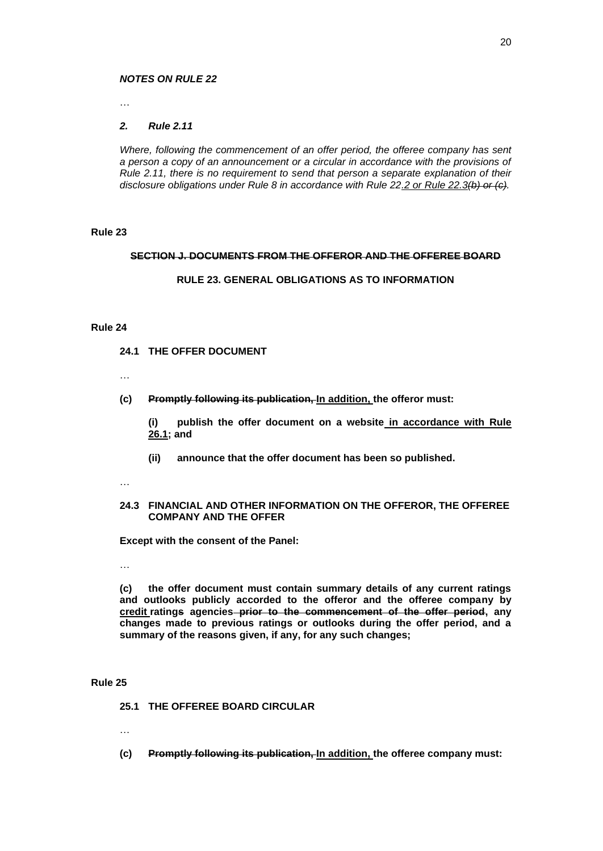#### *NOTES ON RULE 22*

…

#### *2. Rule 2.11*

*Where, following the commencement of an offer period, the offeree company has sent a person a copy of an announcement or a circular in accordance with the provisions of Rule 2.11, there is no requirement to send that person a separate explanation of their disclosure obligations under Rule 8 in accordance with Rule 22.2 or Rule 22.3(b) or (c).*

## **Rule 23**

#### **SECTION J. DOCUMENTS FROM THE OFFEROR AND THE OFFEREE BOARD**

#### **RULE 23. GENERAL OBLIGATIONS AS TO INFORMATION**

## **Rule 24**

- **24.1 THE OFFER DOCUMENT**
- …
- **(c) Promptly following its publication, In addition, the offeror must:**

**(i) publish the offer document on a website in accordance with Rule 26.1; and**

**(ii) announce that the offer document has been so published.**

…

#### **24.3 FINANCIAL AND OTHER INFORMATION ON THE OFFEROR, THE OFFEREE COMPANY AND THE OFFER**

**Except with the consent of the Panel:**

…

**(c) the offer document must contain summary details of any current ratings and outlooks publicly accorded to the offeror and the offeree company by credit ratings agencies prior to the commencement of the offer period, any changes made to previous ratings or outlooks during the offer period, and a summary of the reasons given, if any, for any such changes;**

#### **Rule 25**

**25.1 THE OFFEREE BOARD CIRCULAR**

- …
- **(c) Promptly following its publication, In addition, the offeree company must:**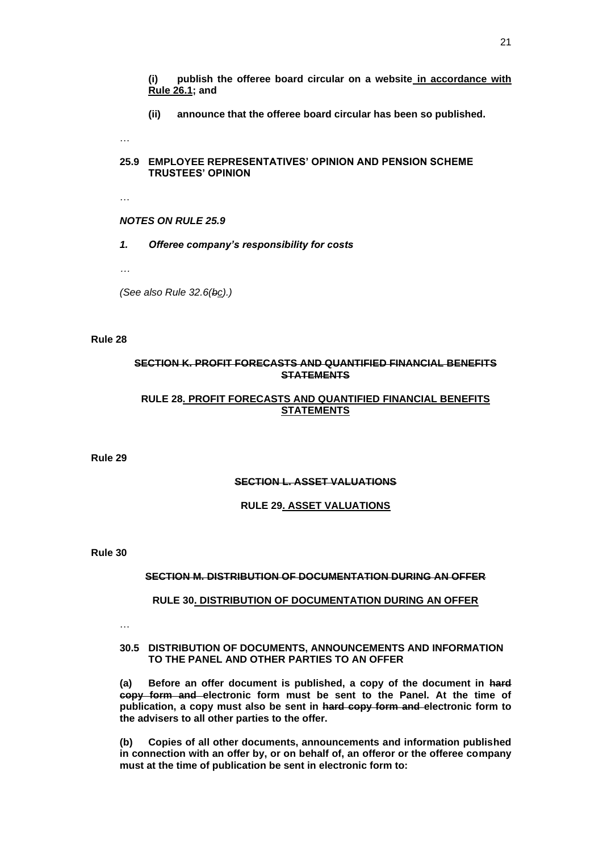**(i) publish the offeree board circular on a website in accordance with Rule 26.1; and**

**(ii) announce that the offeree board circular has been so published.**

…

## **25.9 EMPLOYEE REPRESENTATIVES' OPINION AND PENSION SCHEME TRUSTEES' OPINION**

…

## *NOTES ON RULE 25.9*

*1. Offeree company's responsibility for costs*

*…*

*(See also Rule 32.6(bc).)*

# **Rule 28**

# **SECTION K. PROFIT FORECASTS AND QUANTIFIED FINANCIAL BENEFITS STATEMENTS**

## **RULE 28. PROFIT FORECASTS AND QUANTIFIED FINANCIAL BENEFITS STATEMENTS**

**Rule 29**

# **SECTION L. ASSET VALUATIONS**

## **RULE 29. ASSET VALUATIONS**

**Rule 30**

## **SECTION M. DISTRIBUTION OF DOCUMENTATION DURING AN OFFER**

## **RULE 30. DISTRIBUTION OF DOCUMENTATION DURING AN OFFER**

…

## **30.5 DISTRIBUTION OF DOCUMENTS, ANNOUNCEMENTS AND INFORMATION TO THE PANEL AND OTHER PARTIES TO AN OFFER**

**(a) Before an offer document is published, a copy of the document in hard copy form and electronic form must be sent to the Panel. At the time of publication, a copy must also be sent in hard copy form and electronic form to the advisers to all other parties to the offer.**

**(b) Copies of all other documents, announcements and information published in connection with an offer by, or on behalf of, an offeror or the offeree company must at the time of publication be sent in electronic form to:**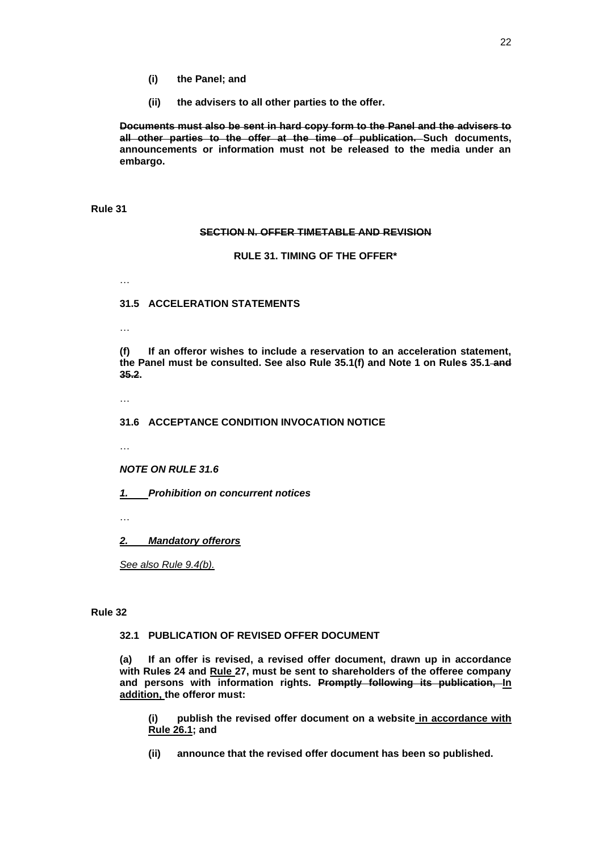- **(i) the Panel; and**
- **(ii) the advisers to all other parties to the offer.**

**Documents must also be sent in hard copy form to the Panel and the advisers to all other parties to the offer at the time of publication. Such documents, announcements or information must not be released to the media under an embargo.**

**Rule 31**

#### **SECTION N. OFFER TIMETABLE AND REVISION**

#### **RULE 31. TIMING OF THE OFFER\***

…

# **31.5 ACCELERATION STATEMENTS**

…

**(f) If an offeror wishes to include a reservation to an acceleration statement, the Panel must be consulted. See also Rule 35.1(f) and Note 1 on Rules 35.1 and 35.2.**

…

#### **31.6 ACCEPTANCE CONDITION INVOCATION NOTICE**

…

*NOTE ON RULE 31.6*

*1. Prohibition on concurrent notices*

…

*2. Mandatory offerors*

*See also Rule 9.4(b).*

#### **Rule 32**

#### **32.1 PUBLICATION OF REVISED OFFER DOCUMENT**

**(a) If an offer is revised, a revised offer document, drawn up in accordance with Rules 24 and Rule 27, must be sent to shareholders of the offeree company and persons with information rights. Promptly following its publication, In addition, the offeror must:**

**(i) publish the revised offer document on a website in accordance with Rule 26.1; and**

**(ii) announce that the revised offer document has been so published.**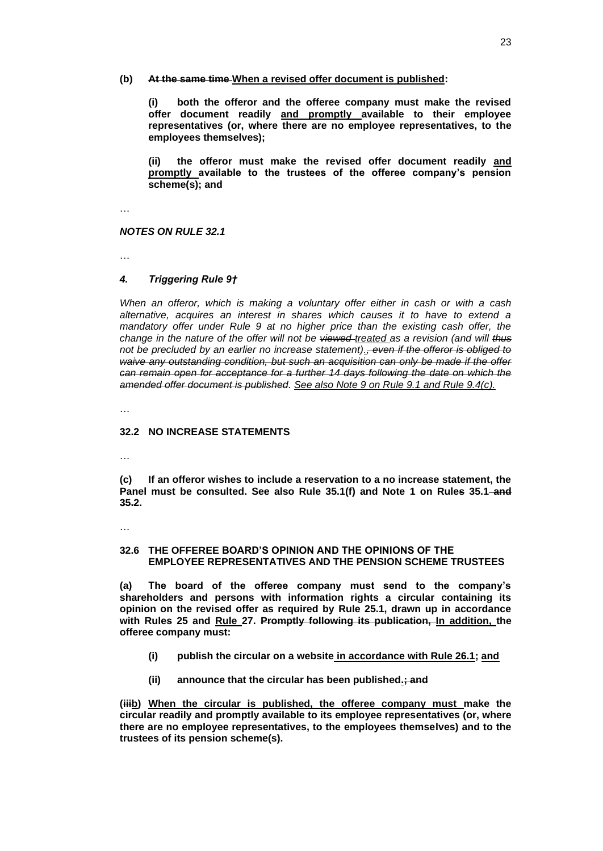#### **(b) At the same time When a revised offer document is published:**

**(i) both the offeror and the offeree company must make the revised offer document readily and promptly available to their employee representatives (or, where there are no employee representatives, to the employees themselves);**

**(ii) the offeror must make the revised offer document readily and promptly available to the trustees of the offeree company's pension scheme(s); and**

…

#### *NOTES ON RULE 32.1*

…

#### *4. Triggering Rule 9†*

*When an offeror, which is making a voluntary offer either in cash or with a cash alternative, acquires an interest in shares which causes it to have to extend a mandatory offer under Rule 9 at no higher price than the existing cash offer, the change in the nature of the offer will not be viewed treated as a revision (and will thus not be precluded by an earlier no increase statement)., even if the offeror is obliged to waive any outstanding condition, but such an acquisition can only be made if the offer can remain open for acceptance for a further 14 days following the date on which the amended offer document is published. See also Note 9 on Rule 9.1 and Rule 9.4(c).*

…

#### **32.2 NO INCREASE STATEMENTS**

…

**(c) If an offeror wishes to include a reservation to a no increase statement, the Panel must be consulted. See also Rule 35.1(f) and Note 1 on Rules 35.1 and 35.2.**

…

#### **32.6 THE OFFEREE BOARD'S OPINION AND THE OPINIONS OF THE EMPLOYEE REPRESENTATIVES AND THE PENSION SCHEME TRUSTEES**

**(a) The board of the offeree company must send to the company's shareholders and persons with information rights a circular containing its opinion on the revised offer as required by Rule 25.1, drawn up in accordance with Rules 25 and Rule 27. Promptly following its publication, In addition, the offeree company must:**

- **(i) publish the circular on a website in accordance with Rule 26.1; and**
- **(ii) announce that the circular has been published.; and**

**(iiib) When the circular is published, the offeree company must make the circular readily and promptly available to its employee representatives (or, where there are no employee representatives, to the employees themselves) and to the trustees of its pension scheme(s).**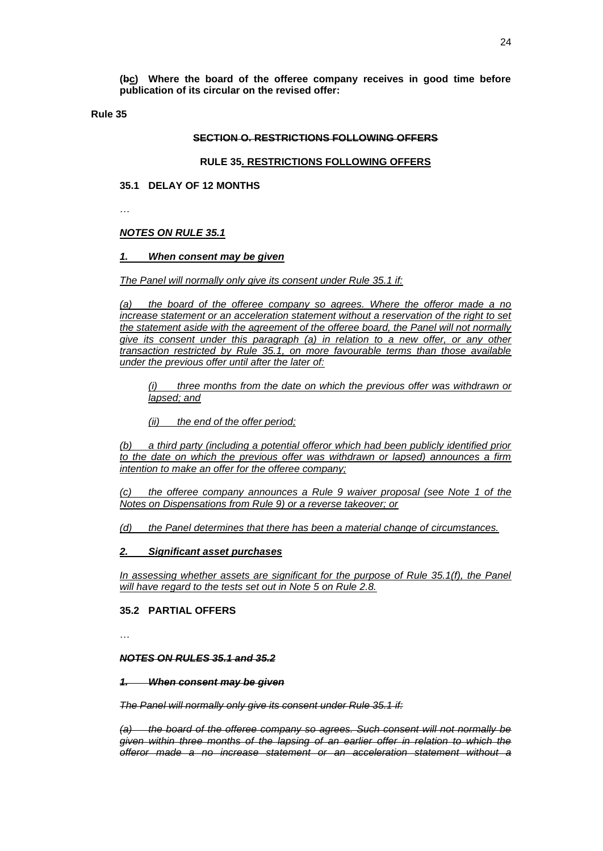**(bc) Where the board of the offeree company receives in good time before publication of its circular on the revised offer:**

**Rule 35**

## **SECTION O. RESTRICTIONS FOLLOWING OFFERS**

#### **RULE 35. RESTRICTIONS FOLLOWING OFFERS**

## **35.1 DELAY OF 12 MONTHS**

…

#### *NOTES ON RULE 35.1*

#### *1. When consent may be given*

#### *The Panel will normally only give its consent under Rule 35.1 if:*

*(a) the board of the offeree company so agrees. Where the offeror made a no increase statement or an acceleration statement without a reservation of the right to set the statement aside with the agreement of the offeree board, the Panel will not normally give its consent under this paragraph (a) in relation to a new offer, or any other transaction restricted by Rule 35.1, on more favourable terms than those available under the previous offer until after the later of:*

*(i) three months from the date on which the previous offer was withdrawn or lapsed; and*

*(ii) the end of the offer period;*

*(b) a third party (including a potential offeror which had been publicly identified prior to the date on which the previous offer was withdrawn or lapsed) announces a firm intention to make an offer for the offeree company;*

*(c) the offeree company announces a Rule 9 waiver proposal (see Note 1 of the Notes on Dispensations from Rule 9) or a reverse takeover; or*

*(d) the Panel determines that there has been a material change of circumstances.*

#### *2. Significant asset purchases*

*In assessing whether assets are significant for the purpose of Rule 35.1(f), the Panel will have regard to the tests set out in Note 5 on Rule 2.8.*

#### **35.2 PARTIAL OFFERS**

…

*NOTES ON RULES 35.1 and 35.2*

#### *1. When consent may be given*

*The Panel will normally only give its consent under Rule 35.1 if:*

*(a) the board of the offeree company so agrees. Such consent will not normally be given within three months of the lapsing of an earlier offer in relation to which the offeror made a no increase statement or an acceleration statement without a*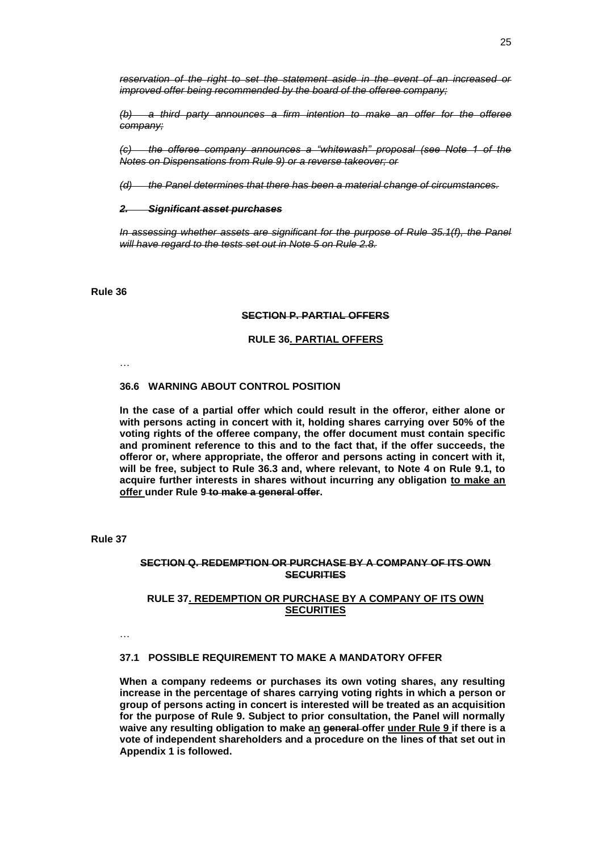*reservation of the right to set the statement aside in the event of an increased or improved offer being recommended by the board of the offeree company;*

*(b) a third party announces a firm intention to make an offer for the offeree company;*

*(c) the offeree company announces a "whitewash" proposal (see Note 1 of the Notes on Dispensations from Rule 9) or a reverse takeover; or*

*(d) the Panel determines that there has been a material change of circumstances.*

#### *2. Significant asset purchases*

*In assessing whether assets are significant for the purpose of Rule 35.1(f), the Panel will have regard to the tests set out in Note 5 on Rule 2.8.*

**Rule 36**

#### **SECTION P. PARTIAL OFFERS**

#### **RULE 36. PARTIAL OFFERS**

…

# **36.6 WARNING ABOUT CONTROL POSITION**

**In the case of a partial offer which could result in the offeror, either alone or with persons acting in concert with it, holding shares carrying over 50% of the voting rights of the offeree company, the offer document must contain specific and prominent reference to this and to the fact that, if the offer succeeds, the offeror or, where appropriate, the offeror and persons acting in concert with it, will be free, subject to Rule 36.3 and, where relevant, to Note 4 on Rule 9.1, to acquire further interests in shares without incurring any obligation to make an offer under Rule 9 to make a general offer.**

**Rule 37**

#### **SECTION Q. REDEMPTION OR PURCHASE BY A COMPANY OF ITS OWN SECURITIES**

## **RULE 37. REDEMPTION OR PURCHASE BY A COMPANY OF ITS OWN SECURITIES**

…

# **37.1 POSSIBLE REQUIREMENT TO MAKE A MANDATORY OFFER**

**When a company redeems or purchases its own voting shares, any resulting increase in the percentage of shares carrying voting rights in which a person or group of persons acting in concert is interested will be treated as an acquisition for the purpose of Rule 9. Subject to prior consultation, the Panel will normally waive any resulting obligation to make an general offer under Rule 9 if there is a vote of independent shareholders and a procedure on the lines of that set out in Appendix 1 is followed.**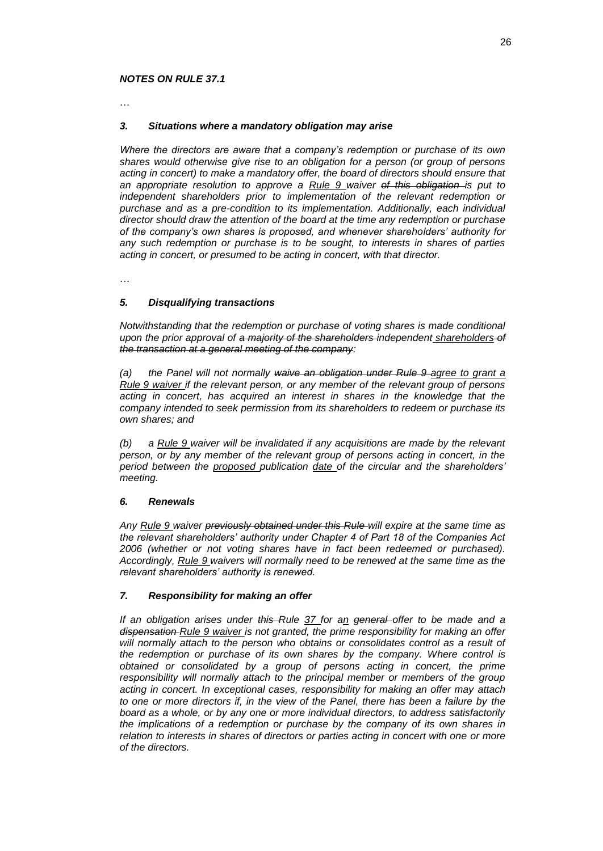## *NOTES ON RULE 37.1*

…

## *3. Situations where a mandatory obligation may arise*

*Where the directors are aware that a company's redemption or purchase of its own shares would otherwise give rise to an obligation for a person (or group of persons acting in concert) to make a mandatory offer, the board of directors should ensure that an appropriate resolution to approve a Rule 9 waiver of this obligation is put to independent shareholders prior to implementation of the relevant redemption or purchase and as a pre-condition to its implementation. Additionally, each individual director should draw the attention of the board at the time any redemption or purchase of the company's own shares is proposed, and whenever shareholders' authority for any such redemption or purchase is to be sought, to interests in shares of parties acting in concert, or presumed to be acting in concert, with that director.*

…

# *5. Disqualifying transactions*

*Notwithstanding that the redemption or purchase of voting shares is made conditional upon the prior approval of a majority of the shareholders independent shareholders of the transaction at a general meeting of the company:*

*(a) the Panel will not normally waive an obligation under Rule 9 agree to grant a Rule 9 waiver if the relevant person, or any member of the relevant group of persons acting in concert, has acquired an interest in shares in the knowledge that the company intended to seek permission from its shareholders to redeem or purchase its own shares; and* 

*(b) a Rule 9 waiver will be invalidated if any acquisitions are made by the relevant person, or by any member of the relevant group of persons acting in concert, in the period between the proposed publication date of the circular and the shareholders' meeting.*

## *6. Renewals*

*Any Rule 9 waiver previously obtained under this Rule will expire at the same time as the relevant shareholders' authority under Chapter 4 of Part 18 of the Companies Act 2006 (whether or not voting shares have in fact been redeemed or purchased). Accordingly, Rule 9 waivers will normally need to be renewed at the same time as the relevant shareholders' authority is renewed.*

## *7. Responsibility for making an offer*

*If an obligation arises under this Rule 37 for an general offer to be made and a dispensation Rule 9 waiver is not granted, the prime responsibility for making an offer*  will normally attach to the person who obtains or consolidates control as a result of *the redemption or purchase of its own shares by the company. Where control is obtained or consolidated by a group of persons acting in concert, the prime responsibility will normally attach to the principal member or members of the group acting in concert. In exceptional cases, responsibility for making an offer may attach to one or more directors if, in the view of the Panel, there has been a failure by the board as a whole, or by any one or more individual directors, to address satisfactorily the implications of a redemption or purchase by the company of its own shares in relation to interests in shares of directors or parties acting in concert with one or more of the directors.*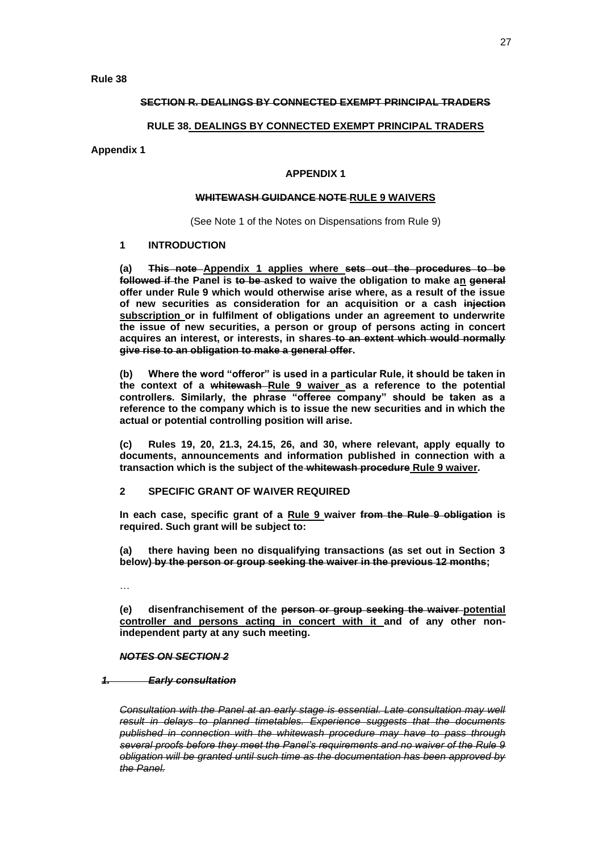## **SECTION R. DEALINGS BY CONNECTED EXEMPT PRINCIPAL TRADERS**

#### **RULE 38. DEALINGS BY CONNECTED EXEMPT PRINCIPAL TRADERS**

**Appendix 1**

## **APPENDIX 1**

#### **WHITEWASH GUIDANCE NOTE RULE 9 WAIVERS**

(See Note 1 of the Notes on Dispensations from Rule 9)

#### **1 INTRODUCTION**

**(a) This note Appendix 1 applies where sets out the procedures to be followed if the Panel is to be asked to waive the obligation to make an general offer under Rule 9 which would otherwise arise where, as a result of the issue of new securities as consideration for an acquisition or a cash injection subscription or in fulfilment of obligations under an agreement to underwrite the issue of new securities, a person or group of persons acting in concert acquires an interest, or interests, in shares to an extent which would normally give rise to an obligation to make a general offer.**

**(b) Where the word "offeror" is used in a particular Rule, it should be taken in the context of a whitewash Rule 9 waiver as a reference to the potential controllers. Similarly, the phrase "offeree company" should be taken as a reference to the company which is to issue the new securities and in which the actual or potential controlling position will arise.**

**(c) Rules 19, 20, 21.3, 24.15, 26, and 30, where relevant, apply equally to documents, announcements and information published in connection with a transaction which is the subject of the whitewash procedure Rule 9 waiver.**

## **2 SPECIFIC GRANT OF WAIVER REQUIRED**

**In each case, specific grant of a Rule 9 waiver from the Rule 9 obligation is required. Such grant will be subject to:**

**(a) there having been no disqualifying transactions (as set out in Section 3 below) by the person or group seeking the waiver in the previous 12 months;**

…

**(e) disenfranchisement of the person or group seeking the waiver potential controller and persons acting in concert with it and of any other nonindependent party at any such meeting.**

#### *NOTES ON SECTION 2*

*1. Early consultation*

*Consultation with the Panel at an early stage is essential. Late consultation may well result in delays to planned timetables. Experience suggests that the documents published in connection with the whitewash procedure may have to pass through several proofs before they meet the Panel's requirements and no waiver of the Rule 9 obligation will be granted until such time as the documentation has been approved by the Panel.*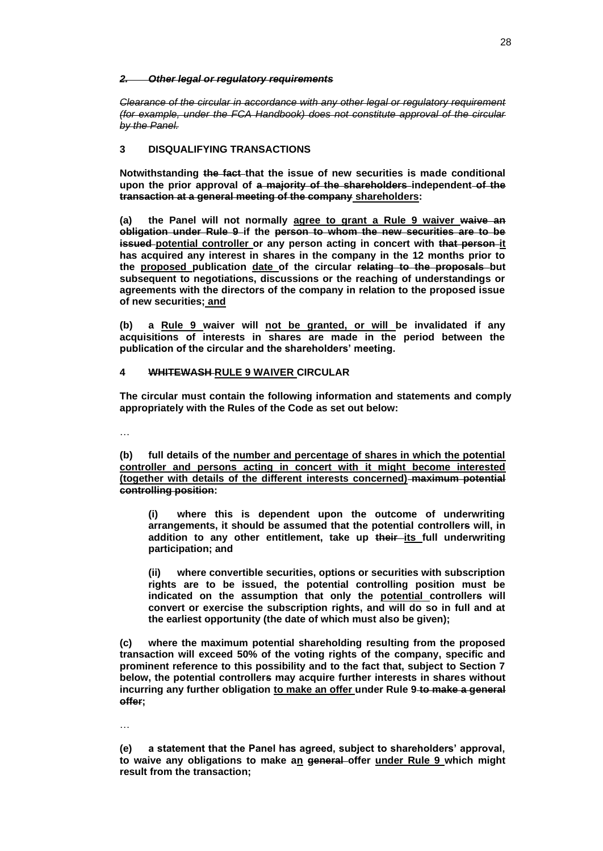#### *2. Other legal or regulatory requirements*

*Clearance of the circular in accordance with any other legal or regulatory requirement (for example, under the FCA Handbook) does not constitute approval of the circular by the Panel.*

# **3 DISQUALIFYING TRANSACTIONS**

**Notwithstanding the fact that the issue of new securities is made conditional upon the prior approval of a majority of the shareholders independent of the transaction at a general meeting of the company shareholders:**

**(a) the Panel will not normally agree to grant a Rule 9 waiver waive an obligation under Rule 9 if the person to whom the new securities are to be issued potential controller or any person acting in concert with that person it has acquired any interest in shares in the company in the 12 months prior to the proposed publication date of the circular relating to the proposals but subsequent to negotiations, discussions or the reaching of understandings or agreements with the directors of the company in relation to the proposed issue of new securities; and**

**(b) a Rule 9 waiver will not be granted, or will be invalidated if any acquisitions of interests in shares are made in the period between the publication of the circular and the shareholders' meeting.**

## **4 WHITEWASH RULE 9 WAIVER CIRCULAR**

**The circular must contain the following information and statements and comply appropriately with the Rules of the Code as set out below:**

…

**(b) full details of the number and percentage of shares in which the potential controller and persons acting in concert with it might become interested (together with details of the different interests concerned) maximum potential controlling position:**

**(i) where this is dependent upon the outcome of underwriting arrangements, it should be assumed that the potential controllers will, in**  addition to any other entitlement, take up their its full underwriting **participation; and**

**(ii) where convertible securities, options or securities with subscription rights are to be issued, the potential controlling position must be indicated on the assumption that only the potential controllers will convert or exercise the subscription rights, and will do so in full and at the earliest opportunity (the date of which must also be given);**

**(c) where the maximum potential shareholding resulting from the proposed transaction will exceed 50% of the voting rights of the company, specific and prominent reference to this possibility and to the fact that, subject to Section 7 below, the potential controllers may acquire further interests in shares without incurring any further obligation to make an offer under Rule 9 to make a general offer;**

…

**(e) a statement that the Panel has agreed, subject to shareholders' approval, to waive any obligations to make an general offer under Rule 9 which might result from the transaction;**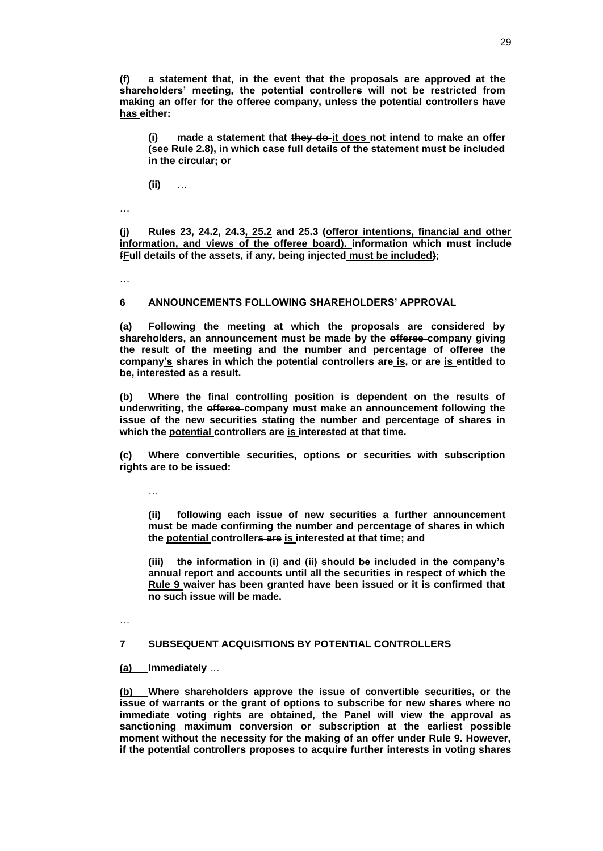**(f) a statement that, in the event that the proposals are approved at the shareholders' meeting, the potential controllers will not be restricted from making an offer for the offeree company, unless the potential controllers have has either:**

(i) made a statement that they do-it does not intend to make an offer **(see Rule 2.8), in which case full details of the statement must be included in the circular; or**

**(ii)** …

…

**(j) Rules 23, 24.2, 24.3, 25.2 and 25.3 (offeror intentions, financial and other information, and views of the offeree board). information which must include fFull details of the assets, if any, being injected must be included);**

…

## **6 ANNOUNCEMENTS FOLLOWING SHAREHOLDERS' APPROVAL**

**(a) Following the meeting at which the proposals are considered by shareholders, an announcement must be made by the offeree company giving the result of the meeting and the number and percentage of offeree the company's shares in which the potential controllers are is, or are is entitled to be, interested as a result.**

**(b) Where the final controlling position is dependent on the results of underwriting, the offeree company must make an announcement following the issue of the new securities stating the number and percentage of shares in which the potential controllers are is interested at that time.**

**(c) Where convertible securities, options or securities with subscription rights are to be issued:**

…

**(ii) following each issue of new securities a further announcement must be made confirming the number and percentage of shares in which the potential controllers are is interested at that time; and**

**(iii) the information in (i) and (ii) should be included in the company's annual report and accounts until all the securities in respect of which the Rule 9 waiver has been granted have been issued or it is confirmed that no such issue will be made.**

…

## **7 SUBSEQUENT ACQUISITIONS BY POTENTIAL CONTROLLERS**

**(a) Immediately** …

**(b) Where shareholders approve the issue of convertible securities, or the issue of warrants or the grant of options to subscribe for new shares where no immediate voting rights are obtained, the Panel will view the approval as sanctioning maximum conversion or subscription at the earliest possible moment without the necessity for the making of an offer under Rule 9. However, if the potential controllers proposes to acquire further interests in voting shares**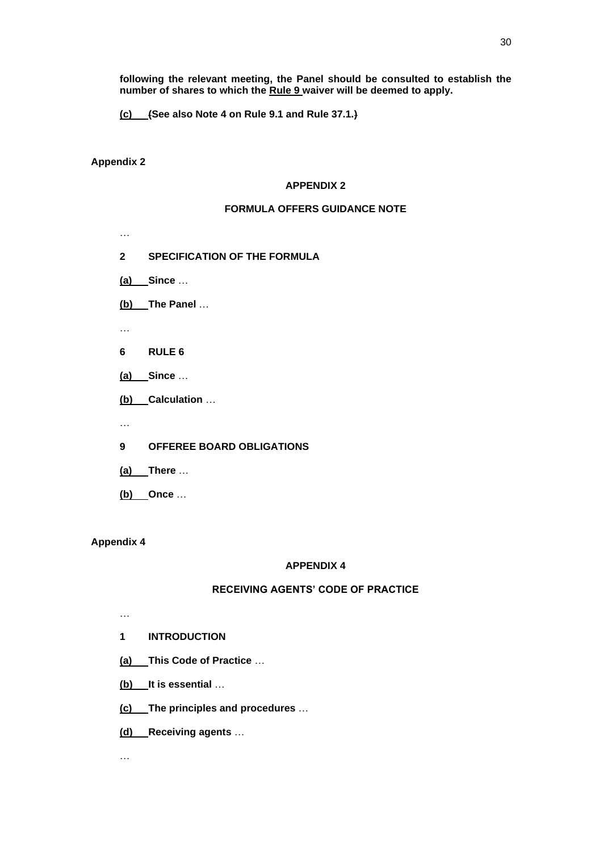**following the relevant meeting, the Panel should be consulted to establish the number of shares to which the Rule 9 waiver will be deemed to apply.**

**(c) (See also Note 4 on Rule 9.1 and Rule 37.1.)**

# **Appendix 2**

## **APPENDIX 2**

# **FORMULA OFFERS GUIDANCE NOTE**

- …
- **2 SPECIFICATION OF THE FORMULA**
- **(a) Since** …
- **(b) The Panel** …
- …
- **6 RULE 6**
- **(a) Since** …
- **(b) Calculation** …
- …
- **9 OFFEREE BOARD OBLIGATIONS**
- **(a) There** …
- **(b) Once** …

# **Appendix 4**

# **APPENDIX 4**

## **RECEIVING AGENTS' CODE OF PRACTICE**

- …
- **1 INTRODUCTION**
- **(a) This Code of Practice** …
- **(b) It is essential** …
- **(c) The principles and procedures** …
- **(d) Receiving agents** …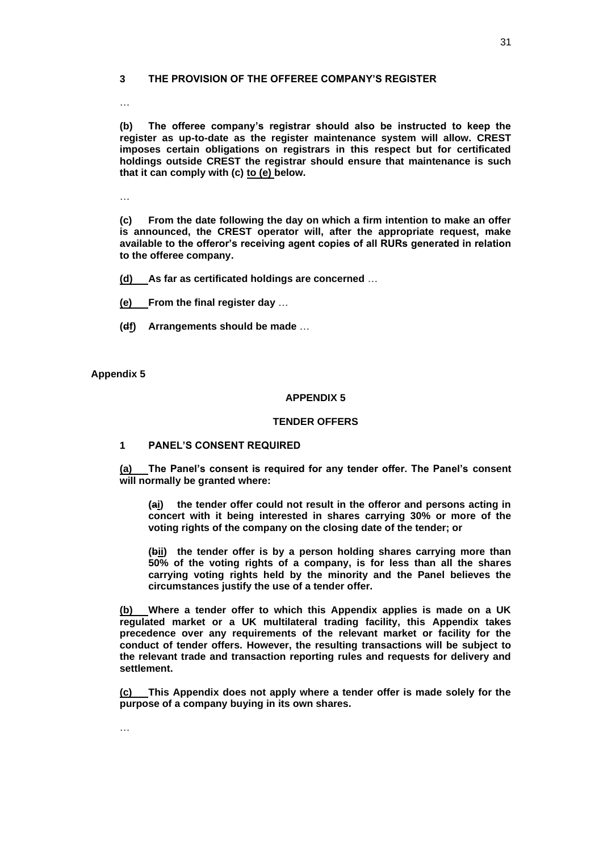#### **3 THE PROVISION OF THE OFFEREE COMPANY'S REGISTER**

…

**(b) The offeree company's registrar should also be instructed to keep the register as up-to-date as the register maintenance system will allow. CREST imposes certain obligations on registrars in this respect but for certificated holdings outside CREST the registrar should ensure that maintenance is such that it can comply with (c) to (e) below.**

…

**(c) From the date following the day on which a firm intention to make an offer is announced, the CREST operator will, after the appropriate request, make available to the offeror's receiving agent copies of all RURs generated in relation to the offeree company.**

**(d) As far as certificated holdings are concerned** …

**(e) From the final register day** …

**(df) Arrangements should be made** …

**Appendix 5**

#### **APPENDIX 5**

#### **TENDER OFFERS**

#### **1 PANEL'S CONSENT REQUIRED**

**(a) The Panel's consent is required for any tender offer. The Panel's consent will normally be granted where:**

**(ai) the tender offer could not result in the offeror and persons acting in concert with it being interested in shares carrying 30% or more of the voting rights of the company on the closing date of the tender; or**

**(bii) the tender offer is by a person holding shares carrying more than 50% of the voting rights of a company, is for less than all the shares carrying voting rights held by the minority and the Panel believes the circumstances justify the use of a tender offer.**

**(b) Where a tender offer to which this Appendix applies is made on a UK regulated market or a UK multilateral trading facility, this Appendix takes precedence over any requirements of the relevant market or facility for the conduct of tender offers. However, the resulting transactions will be subject to the relevant trade and transaction reporting rules and requests for delivery and settlement.**

**(c) This Appendix does not apply where a tender offer is made solely for the purpose of a company buying in its own shares.**